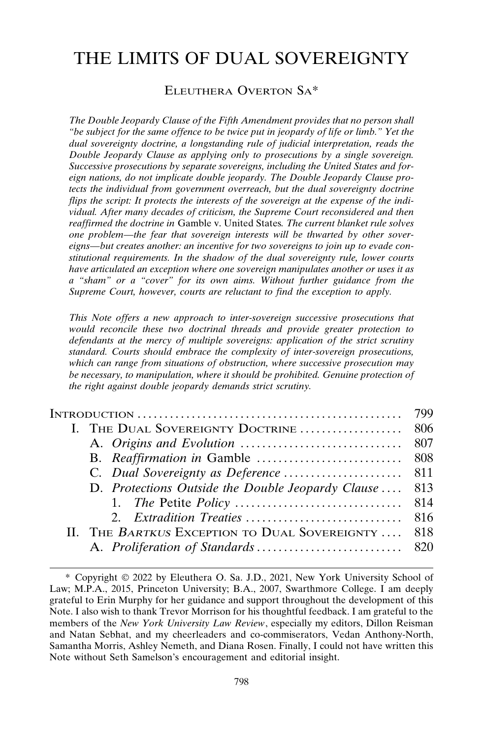# THE LIMITS OF DUAL SOVEREIGNTY

### ELEUTHERA OVERTON SA\*

*The Double Jeopardy Clause of the Fifth Amendment provides that no person shall "be subject for the same offence to be twice put in jeopardy of life or limb." Yet the dual sovereignty doctrine, a longstanding rule of judicial interpretation, reads the Double Jeopardy Clause as applying only to prosecutions by a single sovereign. Successive prosecutions by separate sovereigns, including the United States and foreign nations, do not implicate double jeopardy. The Double Jeopardy Clause protects the individual from government overreach, but the dual sovereignty doctrine flips the script: It protects the interests of the sovereign at the expense of the individual. After many decades of criticism, the Supreme Court reconsidered and then reaffirmed the doctrine in* Gamble v. United States*. The current blanket rule solves one problem—the fear that sovereign interests will be thwarted by other sovereigns—but creates another: an incentive for two sovereigns to join up to evade constitutional requirements. In the shadow of the dual sovereignty rule, lower courts have articulated an exception where one sovereign manipulates another or uses it as a "sham" or a "cover" for its own aims. Without further guidance from the Supreme Court, however, courts are reluctant to find the exception to apply.*

*This Note offers a new approach to inter-sovereign successive prosecutions that would reconcile these two doctrinal threads and provide greater protection to defendants at the mercy of multiple sovereigns: application of the strict scrutiny standard. Courts should embrace the complexity of inter-sovereign prosecutions, which can range from situations of obstruction, where successive prosecution may be necessary, to manipulation, where it should be prohibited. Genuine protection of the right against double jeopardy demands strict scrutiny.*

| D. Protections Outside the Double Jeopardy Clause  | 813 |
|----------------------------------------------------|-----|
|                                                    |     |
|                                                    |     |
| II. THE BARTKUS EXCEPTION TO DUAL SOVEREIGNTY  818 |     |
|                                                    |     |

<sup>\*</sup> Copyright 2022 by Eleuthera O. Sa. J.D., 2021, New York University School of Law; M.P.A., 2015, Princeton University; B.A., 2007, Swarthmore College. I am deeply grateful to Erin Murphy for her guidance and support throughout the development of this Note. I also wish to thank Trevor Morrison for his thoughtful feedback. I am grateful to the members of the *New York University Law Review*, especially my editors, Dillon Reisman and Natan Sebhat, and my cheerleaders and co-commiserators, Vedan Anthony-North, Samantha Morris, Ashley Nemeth, and Diana Rosen. Finally, I could not have written this Note without Seth Samelson's encouragement and editorial insight.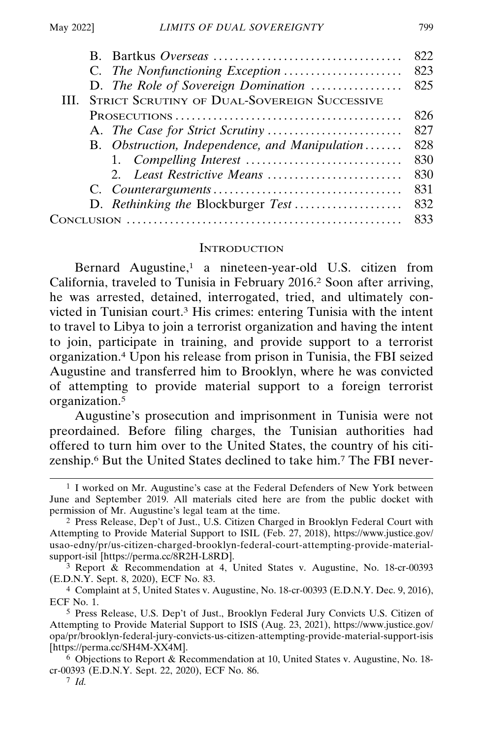|                                                          | 822   |
|----------------------------------------------------------|-------|
|                                                          | 823   |
| D. The Role of Sovereign Domination                      | - 825 |
| <b>III. STRICT SCRUTINY OF DUAL-SOVEREIGN SUCCESSIVE</b> |       |
|                                                          | 826   |
|                                                          | 827   |
| B. Obstruction, Independence, and Manipulation           | 828   |
|                                                          | 830   |
| 2. Least Restrictive Means                               | 830   |
|                                                          | 831   |
| D. Rethinking the Blockburger Test                       | 832   |
|                                                          | 833   |

#### **INTRODUCTION**

Bernard Augustine,<sup>1</sup> a nineteen-year-old U.S. citizen from California, traveled to Tunisia in February 2016.2 Soon after arriving, he was arrested, detained, interrogated, tried, and ultimately convicted in Tunisian court.3 His crimes: entering Tunisia with the intent to travel to Libya to join a terrorist organization and having the intent to join, participate in training, and provide support to a terrorist organization.4 Upon his release from prison in Tunisia, the FBI seized Augustine and transferred him to Brooklyn, where he was convicted of attempting to provide material support to a foreign terrorist organization.5

Augustine's prosecution and imprisonment in Tunisia were not preordained. Before filing charges, the Tunisian authorities had offered to turn him over to the United States, the country of his citizenship.6 But the United States declined to take him.7 The FBI never-

<sup>1</sup> I worked on Mr. Augustine's case at the Federal Defenders of New York between June and September 2019. All materials cited here are from the public docket with permission of Mr. Augustine's legal team at the time.

<sup>2</sup> Press Release, Dep't of Just., U.S. Citizen Charged in Brooklyn Federal Court with Attempting to Provide Material Support to ISIL (Feb. 27, 2018), https://www.justice.gov/ usao-edny/pr/us-citizen-charged-brooklyn-federal-court-attempting-provide-materialsupport-isil [https://perma.cc/8R2H-L8RD].

<sup>3</sup> Report & Recommendation at 4, United States v. Augustine, No. 18-cr-00393 (E.D.N.Y. Sept. 8, 2020), ECF No. 83.

<sup>4</sup> Complaint at 5, United States v. Augustine, No. 18-cr-00393 (E.D.N.Y. Dec. 9, 2016), ECF No. 1.

<sup>5</sup> Press Release, U.S. Dep't of Just., Brooklyn Federal Jury Convicts U.S. Citizen of Attempting to Provide Material Support to ISIS (Aug. 23, 2021), https://www.justice.gov/ opa/pr/brooklyn-federal-jury-convicts-us-citizen-attempting-provide-material-support-isis [https://perma.cc/SH4M-XX4M].

<sup>6</sup> Objections to Report & Recommendation at 10, United States v. Augustine, No. 18 cr-00393 (E.D.N.Y. Sept. 22, 2020), ECF No. 86.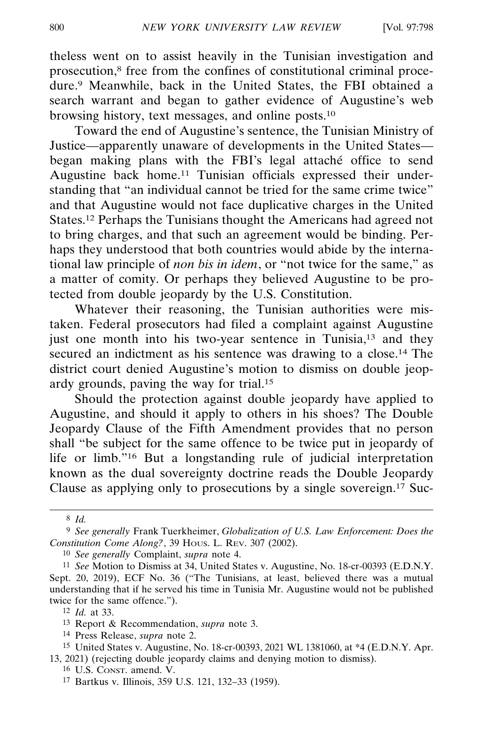theless went on to assist heavily in the Tunisian investigation and prosecution,8 free from the confines of constitutional criminal procedure.9 Meanwhile, back in the United States, the FBI obtained a search warrant and began to gather evidence of Augustine's web browsing history, text messages, and online posts.10

Toward the end of Augustine's sentence, the Tunisian Ministry of Justice—apparently unaware of developments in the United States began making plans with the FBI's legal attaché office to send Augustine back home.11 Tunisian officials expressed their understanding that "an individual cannot be tried for the same crime twice" and that Augustine would not face duplicative charges in the United States.12 Perhaps the Tunisians thought the Americans had agreed not to bring charges, and that such an agreement would be binding. Perhaps they understood that both countries would abide by the international law principle of *non bis in idem*, or "not twice for the same," as a matter of comity. Or perhaps they believed Augustine to be protected from double jeopardy by the U.S. Constitution.

Whatever their reasoning, the Tunisian authorities were mistaken. Federal prosecutors had filed a complaint against Augustine just one month into his two-year sentence in Tunisia,<sup>13</sup> and they secured an indictment as his sentence was drawing to a close.<sup>14</sup> The district court denied Augustine's motion to dismiss on double jeopardy grounds, paving the way for trial.15

Should the protection against double jeopardy have applied to Augustine, and should it apply to others in his shoes? The Double Jeopardy Clause of the Fifth Amendment provides that no person shall "be subject for the same offence to be twice put in jeopardy of life or limb."16 But a longstanding rule of judicial interpretation known as the dual sovereignty doctrine reads the Double Jeopardy Clause as applying only to prosecutions by a single sovereign.<sup>17</sup> Suc-

10 *See generally* Complaint, *supra* note 4.

<sup>8</sup> *Id.*

<sup>9</sup> *See generally* Frank Tuerkheimer, *Globalization of U.S. Law Enforcement: Does the Constitution Come Along?*, 39 HOUS. L. REV. 307 (2002).

<sup>11</sup> *See* Motion to Dismiss at 34, United States v. Augustine, No. 18-cr-00393 (E.D.N.Y. Sept. 20, 2019), ECF No. 36 ("The Tunisians, at least, believed there was a mutual understanding that if he served his time in Tunisia Mr. Augustine would not be published twice for the same offence.").

<sup>12</sup> *Id.* at 33.

<sup>13</sup> Report & Recommendation, *supra* note 3.

<sup>14</sup> Press Release, *supra* note 2.

<sup>15</sup> United States v. Augustine, No. 18-cr-00393, 2021 WL 1381060, at \*4 (E.D.N.Y. Apr. 13, 2021) (rejecting double jeopardy claims and denying motion to dismiss).

<sup>16</sup> U.S. CONST. amend. V.

<sup>17</sup> Bartkus v. Illinois, 359 U.S. 121, 132–33 (1959).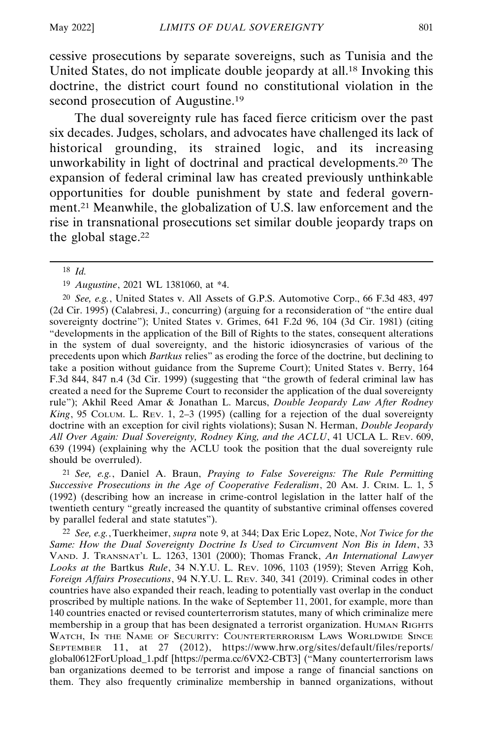cessive prosecutions by separate sovereigns, such as Tunisia and the United States, do not implicate double jeopardy at all.18 Invoking this doctrine, the district court found no constitutional violation in the second prosecution of Augustine.<sup>19</sup>

The dual sovereignty rule has faced fierce criticism over the past six decades. Judges, scholars, and advocates have challenged its lack of historical grounding, its strained logic, and its increasing unworkability in light of doctrinal and practical developments.20 The expansion of federal criminal law has created previously unthinkable opportunities for double punishment by state and federal government.21 Meanwhile, the globalization of U.S. law enforcement and the rise in transnational prosecutions set similar double jeopardy traps on the global stage.22

20 *See, e.g.*, United States v. All Assets of G.P.S. Automotive Corp., 66 F.3d 483, 497 (2d Cir. 1995) (Calabresi, J., concurring) (arguing for a reconsideration of "the entire dual sovereignty doctrine"); United States v. Grimes, 641 F.2d 96, 104 (3d Cir. 1981) (citing "developments in the application of the Bill of Rights to the states, consequent alterations in the system of dual sovereignty, and the historic idiosyncrasies of various of the precedents upon which *Bartkus* relies" as eroding the force of the doctrine, but declining to take a position without guidance from the Supreme Court); United States v. Berry, 164 F.3d 844, 847 n.4 (3d Cir. 1999) (suggesting that "the growth of federal criminal law has created a need for the Supreme Court to reconsider the application of the dual sovereignty rule"); Akhil Reed Amar & Jonathan L. Marcus, *Double Jeopardy Law After Rodney King*, 95 COLUM. L. REV. 1, 2–3 (1995) (calling for a rejection of the dual sovereignty doctrine with an exception for civil rights violations); Susan N. Herman, *Double Jeopardy All Over Again: Dual Sovereignty, Rodney King, and the ACLU*, 41 UCLA L. REV. 609, 639 (1994) (explaining why the ACLU took the position that the dual sovereignty rule should be overruled).

21 *See, e.g.*, Daniel A. Braun, *Praying to False Sovereigns: The Rule Permitting Successive Prosecutions in the Age of Cooperative Federalism*, 20 AM. J. CRIM. L. 1, 5 (1992) (describing how an increase in crime-control legislation in the latter half of the twentieth century "greatly increased the quantity of substantive criminal offenses covered by parallel federal and state statutes").

22 *See, e.g.*, Tuerkheimer, *supra* note 9, at 344; Dax Eric Lopez, Note, *Not Twice for the Same: How the Dual Sovereignty Doctrine Is Used to Circumvent Non Bis in Idem*, 33 VAND. J. TRANSNAT'L L. 1263, 1301 (2000); Thomas Franck, *An International Lawyer Looks at the* Bartkus *Rule*, 34 N.Y.U. L. REV. 1096, 1103 (1959); Steven Arrigg Koh, *Foreign Affairs Prosecutions*, 94 N.Y.U. L. REV. 340, 341 (2019). Criminal codes in other countries have also expanded their reach, leading to potentially vast overlap in the conduct proscribed by multiple nations. In the wake of September 11, 2001, for example, more than 140 countries enacted or revised counterterrorism statutes, many of which criminalize mere membership in a group that has been designated a terrorist organization. HUMAN RIGHTS WATCH, IN THE NAME OF SECURITY: COUNTERTERRORISM LAWS WORLDWIDE SINCE SEPTEMBER 11, at 27 (2012), https://www.hrw.org/sites/default/files/reports/ global0612ForUpload\_1.pdf [https://perma.cc/6VX2-CBT3] ("Many counterterrorism laws ban organizations deemed to be terrorist and impose a range of financial sanctions on them. They also frequently criminalize membership in banned organizations, without

<sup>18</sup> *Id.*

<sup>19</sup> *Augustine*, 2021 WL 1381060, at \*4.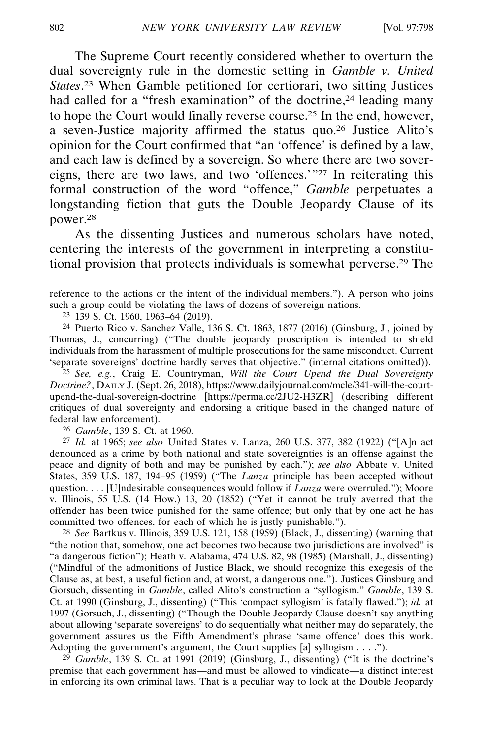The Supreme Court recently considered whether to overturn the dual sovereignty rule in the domestic setting in *Gamble v. United States*. 23 When Gamble petitioned for certiorari, two sitting Justices had called for a "fresh examination" of the doctrine.<sup>24</sup> leading many to hope the Court would finally reverse course.25 In the end, however, a seven-Justice majority affirmed the status quo.26 Justice Alito's opinion for the Court confirmed that "an 'offence' is defined by a law, and each law is defined by a sovereign. So where there are two sovereigns, there are two laws, and two 'offences.'"27 In reiterating this formal construction of the word "offence," *Gamble* perpetuates a longstanding fiction that guts the Double Jeopardy Clause of its power.28

As the dissenting Justices and numerous scholars have noted, centering the interests of the government in interpreting a constitutional provision that protects individuals is somewhat perverse.29 The

reference to the actions or the intent of the individual members."). A person who joins such a group could be violating the laws of dozens of sovereign nations.

23 139 S. Ct. 1960, 1963–64 (2019).

24 Puerto Rico v. Sanchez Valle, 136 S. Ct. 1863, 1877 (2016) (Ginsburg, J., joined by Thomas, J., concurring) ("The double jeopardy proscription is intended to shield individuals from the harassment of multiple prosecutions for the same misconduct. Current 'separate sovereigns' doctrine hardly serves that objective." (internal citations omitted)).

25 *See, e.g.*, Craig E. Countryman, *Will the Court Upend the Dual Sovereignty Doctrine?*, DAILY J. (Sept. 26, 2018), https://www.dailyjournal.com/mcle/341-will-the-courtupend-the-dual-sovereign-doctrine [https://perma.cc/2JU2-H3ZR] (describing different critiques of dual sovereignty and endorsing a critique based in the changed nature of federal law enforcement).

26 *Gamble*, 139 S. Ct. at 1960.

27 *Id.* at 1965; *see also* United States v. Lanza, 260 U.S. 377, 382 (1922) ("[A]n act denounced as a crime by both national and state sovereignties is an offense against the peace and dignity of both and may be punished by each."); *see also* Abbate v. United States, 359 U.S. 187, 194–95 (1959) ("The *Lanza* principle has been accepted without question. . . . [U]ndesirable consequences would follow if *Lanza* were overruled."); Moore v. Illinois, 55 U.S. (14 How.) 13, 20 (1852) ("Yet it cannot be truly averred that the offender has been twice punished for the same offence; but only that by one act he has committed two offences, for each of which he is justly punishable.").

28 *See* Bartkus v. Illinois, 359 U.S. 121, 158 (1959) (Black, J., dissenting) (warning that "the notion that, somehow, one act becomes two because two jurisdictions are involved" is "a dangerous fiction"); Heath v. Alabama, 474 U.S. 82, 98 (1985) (Marshall, J., dissenting) ("Mindful of the admonitions of Justice Black, we should recognize this exegesis of the Clause as, at best, a useful fiction and, at worst, a dangerous one."). Justices Ginsburg and Gorsuch, dissenting in *Gamble*, called Alito's construction a "syllogism." *Gamble*, 139 S. Ct. at 1990 (Ginsburg, J., dissenting) ("This 'compact syllogism' is fatally flawed."); *id.* at 1997 (Gorsuch, J., dissenting) ("Though the Double Jeopardy Clause doesn't say anything about allowing 'separate sovereigns' to do sequentially what neither may do separately, the government assures us the Fifth Amendment's phrase 'same offence' does this work. Adopting the government's argument, the Court supplies [a] syllogism . . . .").

29 *Gamble*, 139 S. Ct. at 1991 (2019) (Ginsburg, J., dissenting) ("It is the doctrine's premise that each government has—and must be allowed to vindicate—a distinct interest in enforcing its own criminal laws. That is a peculiar way to look at the Double Jeopardy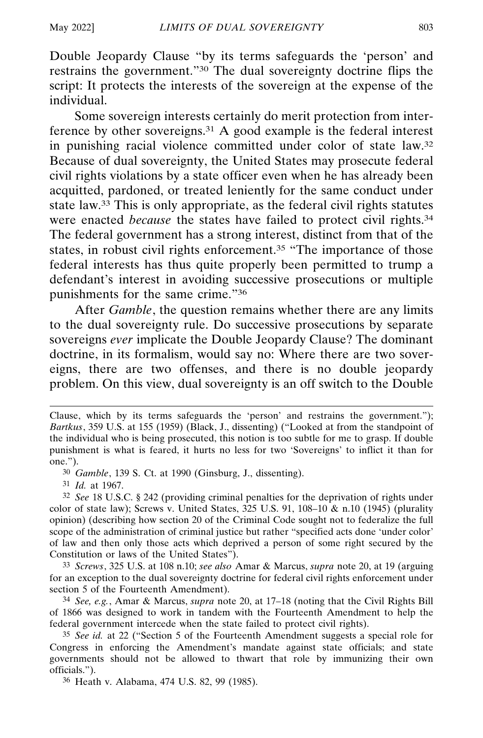Double Jeopardy Clause "by its terms safeguards the 'person' and restrains the government."30 The dual sovereignty doctrine flips the script: It protects the interests of the sovereign at the expense of the individual.

Some sovereign interests certainly do merit protection from interference by other sovereigns.31 A good example is the federal interest in punishing racial violence committed under color of state law.32 Because of dual sovereignty, the United States may prosecute federal civil rights violations by a state officer even when he has already been acquitted, pardoned, or treated leniently for the same conduct under state law.33 This is only appropriate, as the federal civil rights statutes were enacted *because* the states have failed to protect civil rights.34 The federal government has a strong interest, distinct from that of the states, in robust civil rights enforcement.<sup>35</sup> "The importance of those federal interests has thus quite properly been permitted to trump a defendant's interest in avoiding successive prosecutions or multiple punishments for the same crime."36

After *Gamble*, the question remains whether there are any limits to the dual sovereignty rule. Do successive prosecutions by separate sovereigns *ever* implicate the Double Jeopardy Clause? The dominant doctrine, in its formalism, would say no: Where there are two sovereigns, there are two offenses, and there is no double jeopardy problem. On this view, dual sovereignty is an off switch to the Double

31 *Id.* at 1967.

32 *See* 18 U.S.C. § 242 (providing criminal penalties for the deprivation of rights under color of state law); Screws v. United States,  $325$  U.S. 91,  $108-10 \& n.10$  (1945) (plurality opinion) (describing how section 20 of the Criminal Code sought not to federalize the full scope of the administration of criminal justice but rather "specified acts done 'under color' of law and then only those acts which deprived a person of some right secured by the Constitution or laws of the United States").

33 *Screws*, 325 U.S. at 108 n.10; *see also* Amar & Marcus, *supra* note 20, at 19 (arguing for an exception to the dual sovereignty doctrine for federal civil rights enforcement under section 5 of the Fourteenth Amendment).

34 *See, e.g.*, Amar & Marcus, *supra* note 20, at 17–18 (noting that the Civil Rights Bill of 1866 was designed to work in tandem with the Fourteenth Amendment to help the federal government intercede when the state failed to protect civil rights).

35 *See id.* at 22 ("Section 5 of the Fourteenth Amendment suggests a special role for Congress in enforcing the Amendment's mandate against state officials; and state governments should not be allowed to thwart that role by immunizing their own officials.").

36 Heath v. Alabama, 474 U.S. 82, 99 (1985).

Clause, which by its terms safeguards the 'person' and restrains the government."); *Bartkus*, 359 U.S. at 155 (1959) (Black, J., dissenting) ("Looked at from the standpoint of the individual who is being prosecuted, this notion is too subtle for me to grasp. If double punishment is what is feared, it hurts no less for two 'Sovereigns' to inflict it than for one.").

<sup>30</sup> *Gamble*, 139 S. Ct. at 1990 (Ginsburg, J., dissenting).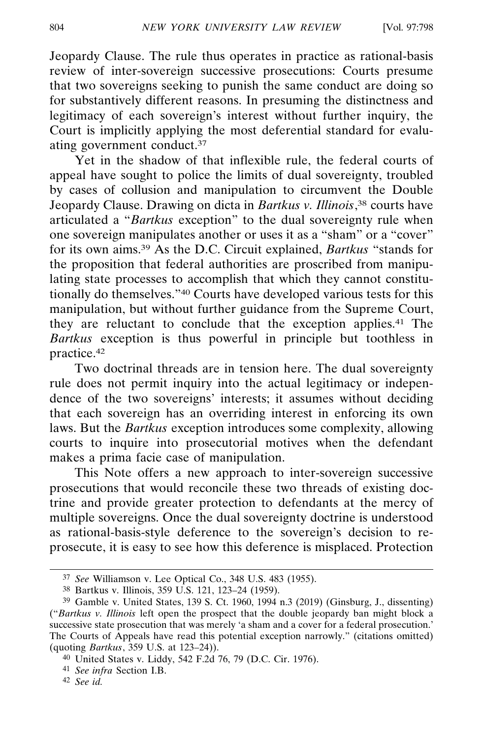Jeopardy Clause. The rule thus operates in practice as rational-basis review of inter-sovereign successive prosecutions: Courts presume that two sovereigns seeking to punish the same conduct are doing so for substantively different reasons. In presuming the distinctness and legitimacy of each sovereign's interest without further inquiry, the Court is implicitly applying the most deferential standard for evaluating government conduct.37

Yet in the shadow of that inflexible rule, the federal courts of appeal have sought to police the limits of dual sovereignty, troubled by cases of collusion and manipulation to circumvent the Double Jeopardy Clause. Drawing on dicta in *Bartkus v. Illinois*, <sup>38</sup> courts have articulated a "*Bartkus* exception" to the dual sovereignty rule when one sovereign manipulates another or uses it as a "sham" or a "cover" for its own aims.39 As the D.C. Circuit explained, *Bartkus* "stands for the proposition that federal authorities are proscribed from manipulating state processes to accomplish that which they cannot constitutionally do themselves."40 Courts have developed various tests for this manipulation, but without further guidance from the Supreme Court, they are reluctant to conclude that the exception applies.41 The *Bartkus* exception is thus powerful in principle but toothless in practice.42

Two doctrinal threads are in tension here. The dual sovereignty rule does not permit inquiry into the actual legitimacy or independence of the two sovereigns' interests; it assumes without deciding that each sovereign has an overriding interest in enforcing its own laws. But the *Bartkus* exception introduces some complexity, allowing courts to inquire into prosecutorial motives when the defendant makes a prima facie case of manipulation.

This Note offers a new approach to inter-sovereign successive prosecutions that would reconcile these two threads of existing doctrine and provide greater protection to defendants at the mercy of multiple sovereigns. Once the dual sovereignty doctrine is understood as rational-basis-style deference to the sovereign's decision to reprosecute, it is easy to see how this deference is misplaced. Protection

<sup>37</sup> *See* Williamson v. Lee Optical Co., 348 U.S. 483 (1955).

<sup>38</sup> Bartkus v. Illinois, 359 U.S. 121, 123–24 (1959).

<sup>39</sup> Gamble v. United States, 139 S. Ct. 1960, 1994 n.3 (2019) (Ginsburg, J., dissenting) ("*Bartkus v. Illinois* left open the prospect that the double jeopardy ban might block a successive state prosecution that was merely 'a sham and a cover for a federal prosecution.' The Courts of Appeals have read this potential exception narrowly." (citations omitted) (quoting *Bartkus*, 359 U.S. at 123–24)).

<sup>40</sup> United States v. Liddy, 542 F.2d 76, 79 (D.C. Cir. 1976).

<sup>41</sup> *See infra* Section I.B.

<sup>42</sup> *See id.*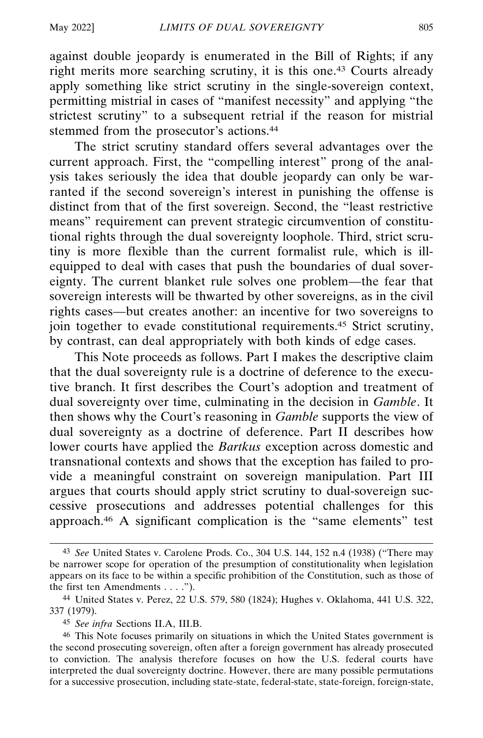against double jeopardy is enumerated in the Bill of Rights; if any right merits more searching scrutiny, it is this one.43 Courts already apply something like strict scrutiny in the single-sovereign context, permitting mistrial in cases of "manifest necessity" and applying "the strictest scrutiny" to a subsequent retrial if the reason for mistrial stemmed from the prosecutor's actions.<sup>44</sup>

The strict scrutiny standard offers several advantages over the current approach. First, the "compelling interest" prong of the analysis takes seriously the idea that double jeopardy can only be warranted if the second sovereign's interest in punishing the offense is distinct from that of the first sovereign. Second, the "least restrictive means" requirement can prevent strategic circumvention of constitutional rights through the dual sovereignty loophole. Third, strict scrutiny is more flexible than the current formalist rule, which is illequipped to deal with cases that push the boundaries of dual sovereignty. The current blanket rule solves one problem—the fear that sovereign interests will be thwarted by other sovereigns, as in the civil rights cases—but creates another: an incentive for two sovereigns to join together to evade constitutional requirements.45 Strict scrutiny, by contrast, can deal appropriately with both kinds of edge cases.

This Note proceeds as follows. Part I makes the descriptive claim that the dual sovereignty rule is a doctrine of deference to the executive branch. It first describes the Court's adoption and treatment of dual sovereignty over time, culminating in the decision in *Gamble*. It then shows why the Court's reasoning in *Gamble* supports the view of dual sovereignty as a doctrine of deference. Part II describes how lower courts have applied the *Bartkus* exception across domestic and transnational contexts and shows that the exception has failed to provide a meaningful constraint on sovereign manipulation. Part III argues that courts should apply strict scrutiny to dual-sovereign successive prosecutions and addresses potential challenges for this approach.46 A significant complication is the "same elements" test

<sup>43</sup> *See* United States v. Carolene Prods. Co., 304 U.S. 144, 152 n.4 (1938) ("There may be narrower scope for operation of the presumption of constitutionality when legislation appears on its face to be within a specific prohibition of the Constitution, such as those of the first ten Amendments . . . .").

<sup>44</sup> United States v. Perez, 22 U.S. 579, 580 (1824); Hughes v. Oklahoma, 441 U.S. 322, 337 (1979).

<sup>45</sup> *See infra* Sections II.A, III.B.

<sup>46</sup> This Note focuses primarily on situations in which the United States government is the second prosecuting sovereign, often after a foreign government has already prosecuted to conviction. The analysis therefore focuses on how the U.S. federal courts have interpreted the dual sovereignty doctrine. However, there are many possible permutations for a successive prosecution, including state-state, federal-state, state-foreign, foreign-state,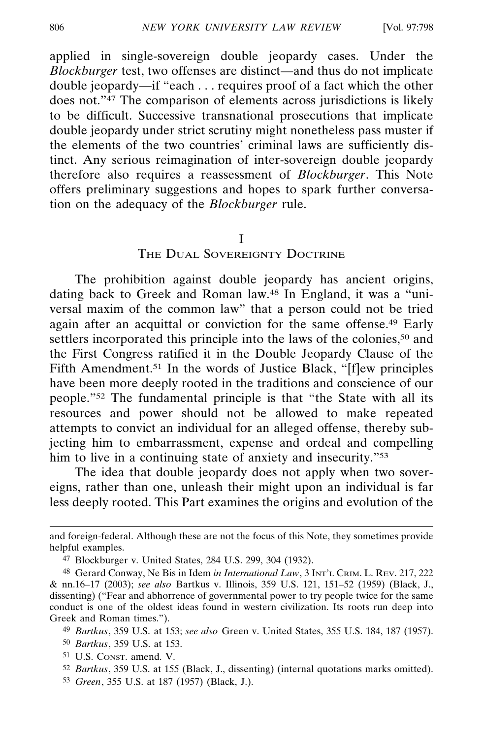applied in single-sovereign double jeopardy cases. Under the *Blockburger* test, two offenses are distinct—and thus do not implicate double jeopardy—if "each . . . requires proof of a fact which the other does not."47 The comparison of elements across jurisdictions is likely to be difficult. Successive transnational prosecutions that implicate double jeopardy under strict scrutiny might nonetheless pass muster if the elements of the two countries' criminal laws are sufficiently distinct. Any serious reimagination of inter-sovereign double jeopardy therefore also requires a reassessment of *Blockburger*. This Note offers preliminary suggestions and hopes to spark further conversation on the adequacy of the *Blockburger* rule.

#### I

## THE DUAL SOVEREIGNTY DOCTRINE

The prohibition against double jeopardy has ancient origins, dating back to Greek and Roman law.48 In England, it was a "universal maxim of the common law" that a person could not be tried again after an acquittal or conviction for the same offense.49 Early settlers incorporated this principle into the laws of the colonies,<sup>50</sup> and the First Congress ratified it in the Double Jeopardy Clause of the Fifth Amendment.<sup>51</sup> In the words of Justice Black, "[f]ew principles have been more deeply rooted in the traditions and conscience of our people."52 The fundamental principle is that "the State with all its resources and power should not be allowed to make repeated attempts to convict an individual for an alleged offense, thereby subjecting him to embarrassment, expense and ordeal and compelling him to live in a continuing state of anxiety and insecurity."<sup>53</sup>

The idea that double jeopardy does not apply when two sovereigns, rather than one, unleash their might upon an individual is far less deeply rooted. This Part examines the origins and evolution of the

and foreign-federal. Although these are not the focus of this Note, they sometimes provide helpful examples.

<sup>47</sup> Blockburger v. United States, 284 U.S. 299, 304 (1932).

<sup>48</sup> Gerard Conway, Ne Bis in Idem *in International Law*, 3 INT'L CRIM. L. REV. 217, 222 & nn.16–17 (2003); *see also* Bartkus v. Illinois, 359 U.S. 121, 151–52 (1959) (Black, J., dissenting) ("Fear and abhorrence of governmental power to try people twice for the same conduct is one of the oldest ideas found in western civilization. Its roots run deep into Greek and Roman times.").

<sup>49</sup> *Bartkus*, 359 U.S. at 153; *see also* Green v. United States, 355 U.S. 184, 187 (1957).

<sup>50</sup> *Bartkus*, 359 U.S. at 153.

<sup>51</sup> U.S. CONST. amend. V.

<sup>52</sup> *Bartkus*, 359 U.S. at 155 (Black, J., dissenting) (internal quotations marks omitted).

<sup>53</sup> *Green*, 355 U.S. at 187 (1957) (Black, J.).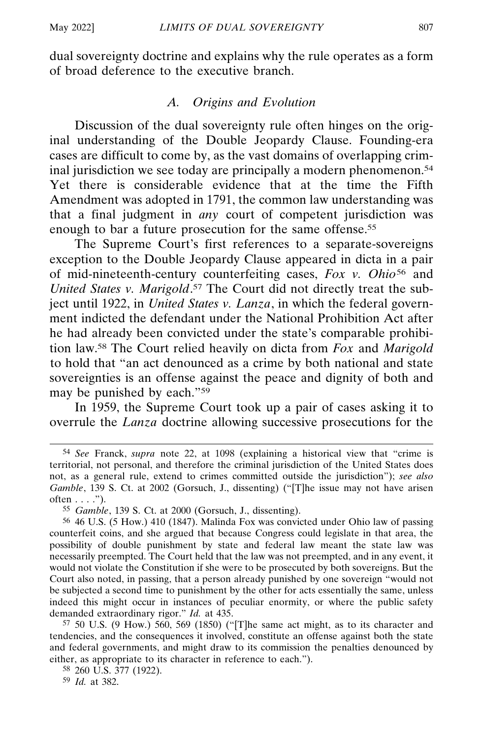dual sovereignty doctrine and explains why the rule operates as a form of broad deference to the executive branch.

## *A. Origins and Evolution*

Discussion of the dual sovereignty rule often hinges on the original understanding of the Double Jeopardy Clause. Founding-era cases are difficult to come by, as the vast domains of overlapping criminal jurisdiction we see today are principally a modern phenomenon.<sup>54</sup> Yet there is considerable evidence that at the time the Fifth Amendment was adopted in 1791, the common law understanding was that a final judgment in *any* court of competent jurisdiction was enough to bar a future prosecution for the same offense.<sup>55</sup>

The Supreme Court's first references to a separate-sovereigns exception to the Double Jeopardy Clause appeared in dicta in a pair of mid-nineteenth-century counterfeiting cases, *Fox v. Ohio*56 and *United States v. Marigold*. 57 The Court did not directly treat the subject until 1922, in *United States v. Lanza*, in which the federal government indicted the defendant under the National Prohibition Act after he had already been convicted under the state's comparable prohibition law.58 The Court relied heavily on dicta from *Fox* and *Marigold* to hold that "an act denounced as a crime by both national and state sovereignties is an offense against the peace and dignity of both and may be punished by each."59

In 1959, the Supreme Court took up a pair of cases asking it to overrule the *Lanza* doctrine allowing successive prosecutions for the

57 50 U.S. (9 How.) 560, 569 (1850) ("[T]he same act might, as to its character and tendencies, and the consequences it involved, constitute an offense against both the state and federal governments, and might draw to its commission the penalties denounced by either, as appropriate to its character in reference to each.").

58 260 U.S. 377 (1922).

59 *Id.* at 382.

<sup>54</sup> *See* Franck, *supra* note 22, at 1098 (explaining a historical view that "crime is territorial, not personal, and therefore the criminal jurisdiction of the United States does not, as a general rule, extend to crimes committed outside the jurisdiction"); *see also Gamble*, 139 S. Ct. at 2002 (Gorsuch, J., dissenting) ("[T]he issue may not have arisen  $often \ldots$ ").

<sup>55</sup> *Gamble*, 139 S. Ct. at 2000 (Gorsuch, J., dissenting).

<sup>56</sup> 46 U.S. (5 How.) 410 (1847). Malinda Fox was convicted under Ohio law of passing counterfeit coins, and she argued that because Congress could legislate in that area, the possibility of double punishment by state and federal law meant the state law was necessarily preempted. The Court held that the law was not preempted, and in any event, it would not violate the Constitution if she were to be prosecuted by both sovereigns. But the Court also noted, in passing, that a person already punished by one sovereign "would not be subjected a second time to punishment by the other for acts essentially the same, unless indeed this might occur in instances of peculiar enormity, or where the public safety demanded extraordinary rigor." *Id.* at 435.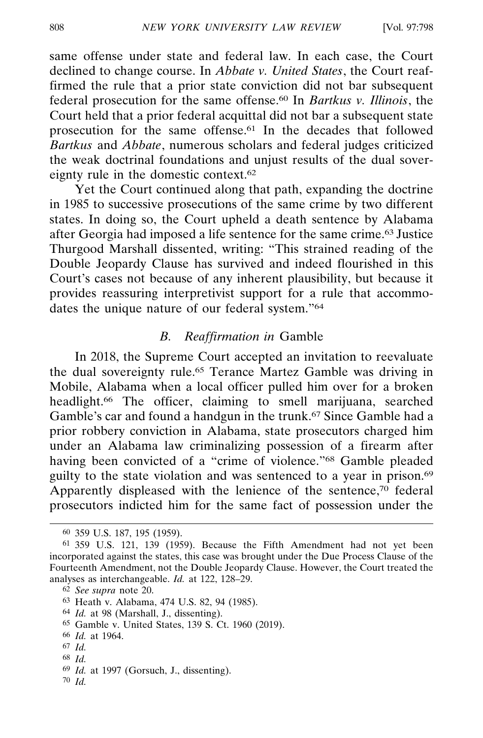same offense under state and federal law. In each case, the Court declined to change course. In *Abbate v. United States*, the Court reaffirmed the rule that a prior state conviction did not bar subsequent federal prosecution for the same offense.60 In *Bartkus v. Illinois*, the Court held that a prior federal acquittal did not bar a subsequent state prosecution for the same offense.61 In the decades that followed *Bartkus* and *Abbate*, numerous scholars and federal judges criticized the weak doctrinal foundations and unjust results of the dual sovereignty rule in the domestic context.62

Yet the Court continued along that path, expanding the doctrine in 1985 to successive prosecutions of the same crime by two different states. In doing so, the Court upheld a death sentence by Alabama after Georgia had imposed a life sentence for the same crime.63 Justice Thurgood Marshall dissented, writing: "This strained reading of the Double Jeopardy Clause has survived and indeed flourished in this Court's cases not because of any inherent plausibility, but because it provides reassuring interpretivist support for a rule that accommodates the unique nature of our federal system."64

## *B. Reaffirmation in* Gamble

In 2018, the Supreme Court accepted an invitation to reevaluate the dual sovereignty rule.65 Terance Martez Gamble was driving in Mobile, Alabama when a local officer pulled him over for a broken headlight.<sup>66</sup> The officer, claiming to smell marijuana, searched Gamble's car and found a handgun in the trunk.67 Since Gamble had a prior robbery conviction in Alabama, state prosecutors charged him under an Alabama law criminalizing possession of a firearm after having been convicted of a "crime of violence."68 Gamble pleaded guilty to the state violation and was sentenced to a year in prison.69 Apparently displeased with the lenience of the sentence,<sup>70</sup> federal prosecutors indicted him for the same fact of possession under the

68 *Id.*

<sup>60</sup> 359 U.S. 187, 195 (1959).

<sup>61</sup> 359 U.S. 121, 139 (1959). Because the Fifth Amendment had not yet been incorporated against the states, this case was brought under the Due Process Clause of the Fourteenth Amendment, not the Double Jeopardy Clause. However, the Court treated the analyses as interchangeable. *Id.* at 122, 128–29.

<sup>62</sup> *See supra* note 20.

<sup>63</sup> Heath v. Alabama, 474 U.S. 82, 94 (1985).

<sup>64</sup> *Id.* at 98 (Marshall, J., dissenting).

<sup>65</sup> Gamble v. United States, 139 S. Ct. 1960 (2019).

<sup>66</sup> *Id.* at 1964.

<sup>67</sup> *Id.*

<sup>69</sup> *Id.* at 1997 (Gorsuch, J., dissenting).

<sup>70</sup> *Id.*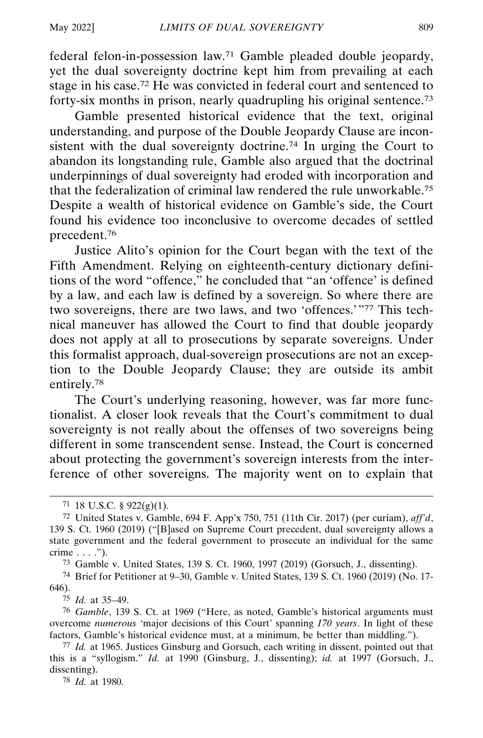federal felon-in-possession law.71 Gamble pleaded double jeopardy, yet the dual sovereignty doctrine kept him from prevailing at each stage in his case.72 He was convicted in federal court and sentenced to forty-six months in prison, nearly quadrupling his original sentence.73

Gamble presented historical evidence that the text, original understanding, and purpose of the Double Jeopardy Clause are inconsistent with the dual sovereignty doctrine.74 In urging the Court to abandon its longstanding rule, Gamble also argued that the doctrinal underpinnings of dual sovereignty had eroded with incorporation and that the federalization of criminal law rendered the rule unworkable.75 Despite a wealth of historical evidence on Gamble's side, the Court found his evidence too inconclusive to overcome decades of settled precedent.76

Justice Alito's opinion for the Court began with the text of the Fifth Amendment. Relying on eighteenth-century dictionary definitions of the word "offence," he concluded that "an 'offence' is defined by a law, and each law is defined by a sovereign. So where there are two sovereigns, there are two laws, and two 'offences.'"77 This technical maneuver has allowed the Court to find that double jeopardy does not apply at all to prosecutions by separate sovereigns. Under this formalist approach, dual-sovereign prosecutions are not an exception to the Double Jeopardy Clause; they are outside its ambit entirely.78

The Court's underlying reasoning, however, was far more functionalist. A closer look reveals that the Court's commitment to dual sovereignty is not really about the offenses of two sovereigns being different in some transcendent sense. Instead, the Court is concerned about protecting the government's sovereign interests from the interference of other sovereigns. The majority went on to explain that

73 Gamble v. United States, 139 S. Ct. 1960, 1997 (2019) (Gorsuch, J., dissenting).

74 Brief for Petitioner at 9–30, Gamble v. United States, 139 S. Ct. 1960 (2019) (No. 17- 646).

75 *Id.* at 35–49.

76 *Gamble*, 139 S. Ct. at 1969 ("Here, as noted, Gamble's historical arguments must overcome *numerous* 'major decisions of this Court' spanning *170 years*. In light of these factors, Gamble's historical evidence must, at a minimum, be better than middling.").

78 *Id.* at 1980.

<sup>71 18</sup> U.S.C. §  $922(g)(1)$ .

<sup>72</sup> United States v. Gamble, 694 F. App'x 750, 751 (11th Cir. 2017) (per curiam), *aff'd*, 139 S. Ct. 1960 (2019) ("[B]ased on Supreme Court precedent, dual sovereignty allows a state government and the federal government to prosecute an individual for the same crime . . . .").

<sup>77</sup> *Id.* at 1965. Justices Ginsburg and Gorsuch, each writing in dissent, pointed out that this is a "syllogism." *Id.* at 1990 (Ginsburg, J., dissenting); *id.* at 1997 (Gorsuch, J., dissenting).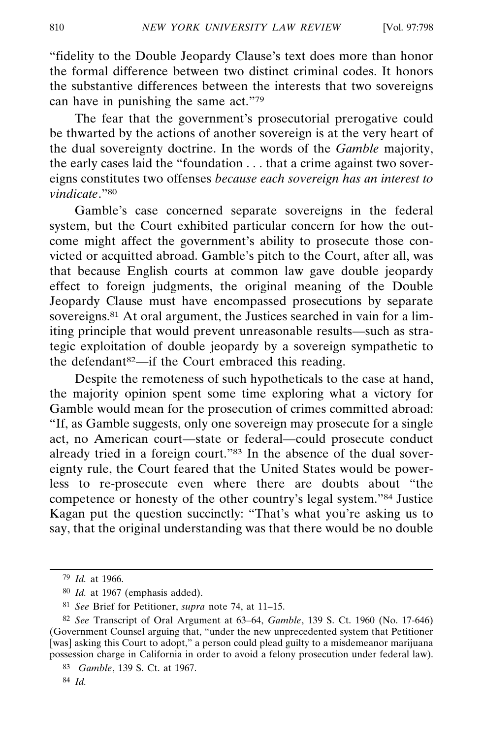"fidelity to the Double Jeopardy Clause's text does more than honor the formal difference between two distinct criminal codes. It honors the substantive differences between the interests that two sovereigns can have in punishing the same act."79

The fear that the government's prosecutorial prerogative could be thwarted by the actions of another sovereign is at the very heart of the dual sovereignty doctrine. In the words of the *Gamble* majority, the early cases laid the "foundation . . . that a crime against two sovereigns constitutes two offenses *because each sovereign has an interest to vindicate*."80

Gamble's case concerned separate sovereigns in the federal system, but the Court exhibited particular concern for how the outcome might affect the government's ability to prosecute those convicted or acquitted abroad. Gamble's pitch to the Court, after all, was that because English courts at common law gave double jeopardy effect to foreign judgments, the original meaning of the Double Jeopardy Clause must have encompassed prosecutions by separate sovereigns.<sup>81</sup> At oral argument, the Justices searched in vain for a limiting principle that would prevent unreasonable results—such as strategic exploitation of double jeopardy by a sovereign sympathetic to the defendant82—if the Court embraced this reading.

Despite the remoteness of such hypotheticals to the case at hand, the majority opinion spent some time exploring what a victory for Gamble would mean for the prosecution of crimes committed abroad: "If, as Gamble suggests, only one sovereign may prosecute for a single act, no American court—state or federal—could prosecute conduct already tried in a foreign court."<sup>83</sup> In the absence of the dual sovereignty rule, the Court feared that the United States would be powerless to re-prosecute even where there are doubts about "the competence or honesty of the other country's legal system."84 Justice Kagan put the question succinctly: "That's what you're asking us to say, that the original understanding was that there would be no double

<sup>79</sup> *Id.* at 1966.

<sup>80</sup> *Id.* at 1967 (emphasis added).

<sup>81</sup> *See* Brief for Petitioner, *supra* note 74, at 11–15.

<sup>82</sup> *See* Transcript of Oral Argument at 63–64, *Gamble*, 139 S. Ct. 1960 (No. 17-646) (Government Counsel arguing that, "under the new unprecedented system that Petitioner [was] asking this Court to adopt," a person could plead guilty to a misdemeanor marijuana possession charge in California in order to avoid a felony prosecution under federal law).

<sup>83</sup> *Gamble*, 139 S. Ct. at 1967.

<sup>84</sup> *Id.*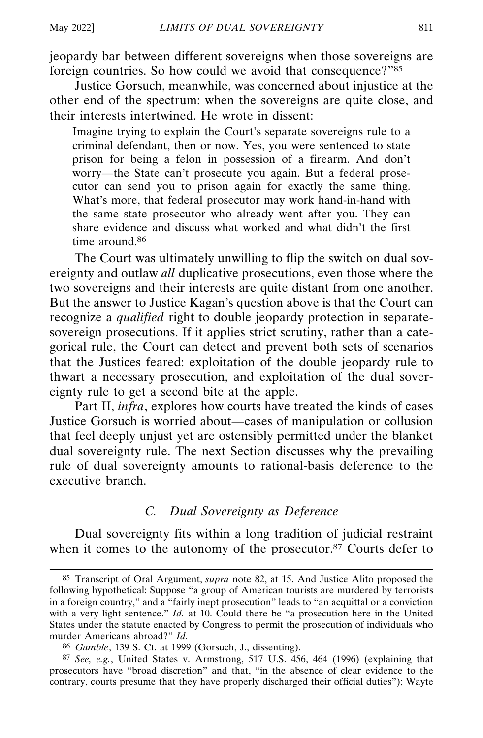jeopardy bar between different sovereigns when those sovereigns are foreign countries. So how could we avoid that consequence?"85

Justice Gorsuch, meanwhile, was concerned about injustice at the other end of the spectrum: when the sovereigns are quite close, and their interests intertwined. He wrote in dissent:

Imagine trying to explain the Court's separate sovereigns rule to a criminal defendant, then or now. Yes, you were sentenced to state prison for being a felon in possession of a firearm. And don't worry—the State can't prosecute you again. But a federal prosecutor can send you to prison again for exactly the same thing. What's more, that federal prosecutor may work hand-in-hand with the same state prosecutor who already went after you. They can share evidence and discuss what worked and what didn't the first time around.<sup>86</sup>

The Court was ultimately unwilling to flip the switch on dual sovereignty and outlaw *all* duplicative prosecutions, even those where the two sovereigns and their interests are quite distant from one another. But the answer to Justice Kagan's question above is that the Court can recognize a *qualified* right to double jeopardy protection in separatesovereign prosecutions. If it applies strict scrutiny, rather than a categorical rule, the Court can detect and prevent both sets of scenarios that the Justices feared: exploitation of the double jeopardy rule to thwart a necessary prosecution, and exploitation of the dual sovereignty rule to get a second bite at the apple.

Part II, *infra*, explores how courts have treated the kinds of cases Justice Gorsuch is worried about—cases of manipulation or collusion that feel deeply unjust yet are ostensibly permitted under the blanket dual sovereignty rule. The next Section discusses why the prevailing rule of dual sovereignty amounts to rational-basis deference to the executive branch.

## *C. Dual Sovereignty as Deference*

Dual sovereignty fits within a long tradition of judicial restraint when it comes to the autonomy of the prosecutor.<sup>87</sup> Courts defer to

<sup>85</sup> Transcript of Oral Argument, *supra* note 82, at 15. And Justice Alito proposed the following hypothetical: Suppose "a group of American tourists are murdered by terrorists in a foreign country," and a "fairly inept prosecution" leads to "an acquittal or a conviction with a very light sentence." *Id.* at 10. Could there be "a prosecution here in the United States under the statute enacted by Congress to permit the prosecution of individuals who murder Americans abroad?" *Id.*

<sup>86</sup> *Gamble*, 139 S. Ct. at 1999 (Gorsuch, J., dissenting).

<sup>87</sup> *See, e.g.*, United States v. Armstrong, 517 U.S. 456, 464 (1996) (explaining that prosecutors have "broad discretion" and that, "in the absence of clear evidence to the contrary, courts presume that they have properly discharged their official duties"); Wayte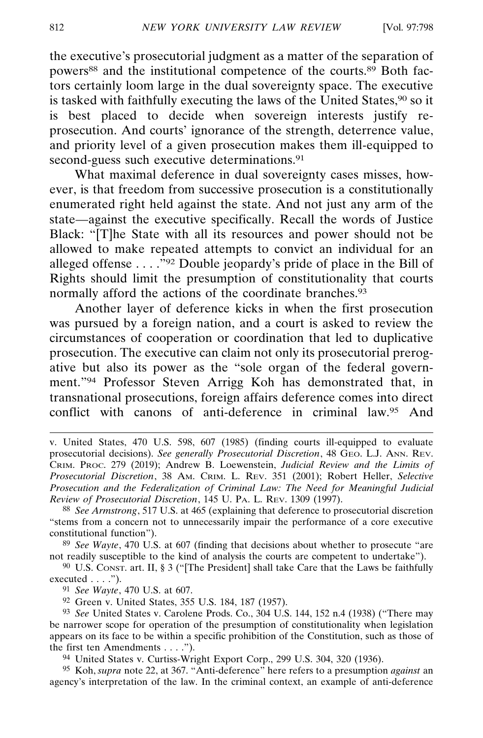the executive's prosecutorial judgment as a matter of the separation of powers<sup>88</sup> and the institutional competence of the courts.<sup>89</sup> Both factors certainly loom large in the dual sovereignty space. The executive is tasked with faithfully executing the laws of the United States,<sup>90</sup> so it is best placed to decide when sovereign interests justify reprosecution. And courts' ignorance of the strength, deterrence value, and priority level of a given prosecution makes them ill-equipped to second-guess such executive determinations.<sup>91</sup>

What maximal deference in dual sovereignty cases misses, however, is that freedom from successive prosecution is a constitutionally enumerated right held against the state. And not just any arm of the state—against the executive specifically. Recall the words of Justice Black: "[T]he State with all its resources and power should not be allowed to make repeated attempts to convict an individual for an alleged offense  $\dots$ <sup>392</sup> Double jeopardy's pride of place in the Bill of Rights should limit the presumption of constitutionality that courts normally afford the actions of the coordinate branches.<sup>93</sup>

Another layer of deference kicks in when the first prosecution was pursued by a foreign nation, and a court is asked to review the circumstances of cooperation or coordination that led to duplicative prosecution. The executive can claim not only its prosecutorial prerogative but also its power as the "sole organ of the federal government."94 Professor Steven Arrigg Koh has demonstrated that, in transnational prosecutions, foreign affairs deference comes into direct conflict with canons of anti-deference in criminal law.95 And

89 *See Wayte*, 470 U.S. at 607 (finding that decisions about whether to prosecute "are not readily susceptible to the kind of analysis the courts are competent to undertake").

90 U.S. CONST. art. II, § 3 ("[The President] shall take Care that the Laws be faithfully executed  $\dots$ .").

91 *See Wayte*, 470 U.S. at 607.

92 Green v. United States, 355 U.S. 184, 187 (1957).

93 *See* United States v. Carolene Prods. Co., 304 U.S. 144, 152 n.4 (1938) ("There may be narrower scope for operation of the presumption of constitutionality when legislation appears on its face to be within a specific prohibition of the Constitution, such as those of the first ten Amendments . . . .").

94 United States v. Curtiss-Wright Export Corp., 299 U.S. 304, 320 (1936).

95 Koh, *supra* note 22, at 367. "Anti-deference" here refers to a presumption *against* an agency's interpretation of the law. In the criminal context, an example of anti-deference

v. United States, 470 U.S. 598, 607 (1985) (finding courts ill-equipped to evaluate prosecutorial decisions). *See generally Prosecutorial Discretion*, 48 GEO. L.J. ANN. REV. CRIM. PROC. 279 (2019); Andrew B. Loewenstein, *Judicial Review and the Limits of Prosecutorial Discretion*, 38 AM. CRIM. L. REV. 351 (2001); Robert Heller, *Selective Prosecution and the Federalization of Criminal Law: The Need for Meaningful Judicial Review of Prosecutorial Discretion*, 145 U. PA. L. REV. 1309 (1997).

<sup>88</sup> *See Armstrong*, 517 U.S. at 465 (explaining that deference to prosecutorial discretion "stems from a concern not to unnecessarily impair the performance of a core executive constitutional function").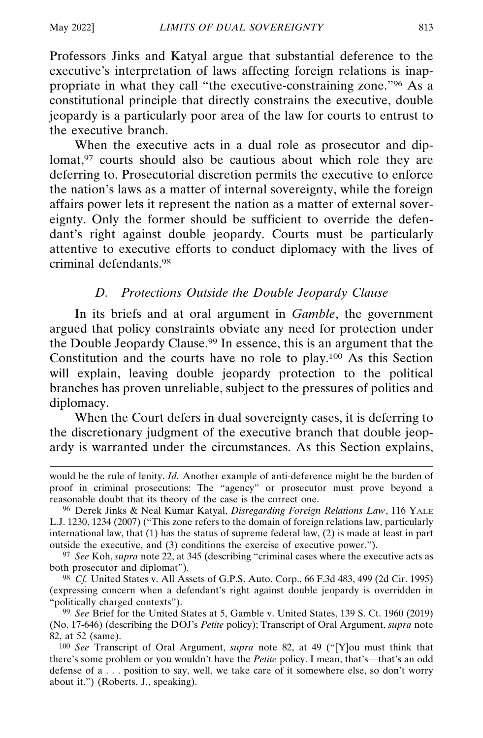Professors Jinks and Katyal argue that substantial deference to the executive's interpretation of laws affecting foreign relations is inappropriate in what they call "the executive-constraining zone."96 As a constitutional principle that directly constrains the executive, double jeopardy is a particularly poor area of the law for courts to entrust to the executive branch.

When the executive acts in a dual role as prosecutor and diplomat,<sup>97</sup> courts should also be cautious about which role they are deferring to. Prosecutorial discretion permits the executive to enforce the nation's laws as a matter of internal sovereignty, while the foreign affairs power lets it represent the nation as a matter of external sovereignty. Only the former should be sufficient to override the defendant's right against double jeopardy. Courts must be particularly attentive to executive efforts to conduct diplomacy with the lives of criminal defendants.98

## *D. Protections Outside the Double Jeopardy Clause*

In its briefs and at oral argument in *Gamble*, the government argued that policy constraints obviate any need for protection under the Double Jeopardy Clause.<sup>99</sup> In essence, this is an argument that the Constitution and the courts have no role to play.100 As this Section will explain, leaving double jeopardy protection to the political branches has proven unreliable, subject to the pressures of politics and diplomacy.

When the Court defers in dual sovereignty cases, it is deferring to the discretionary judgment of the executive branch that double jeopardy is warranted under the circumstances. As this Section explains,

97 *See* Koh, *supra* note 22, at 345 (describing "criminal cases where the executive acts as both prosecutor and diplomat").

98 *Cf.* United States v. All Assets of G.P.S. Auto. Corp., 66 F.3d 483, 499 (2d Cir. 1995) (expressing concern when a defendant's right against double jeopardy is overridden in "politically charged contexts").

would be the rule of lenity. *Id.* Another example of anti-deference might be the burden of proof in criminal prosecutions: The "agency" or prosecutor must prove beyond a reasonable doubt that its theory of the case is the correct one.

<sup>96</sup> Derek Jinks & Neal Kumar Katyal, *Disregarding Foreign Relations Law*, 116 YALE L.J. 1230, 1234 (2007) ("This zone refers to the domain of foreign relations law, particularly international law, that (1) has the status of supreme federal law, (2) is made at least in part outside the executive, and (3) conditions the exercise of executive power.").

<sup>99</sup> *See* Brief for the United States at 5, Gamble v. United States, 139 S. Ct. 1960 (2019) (No. 17-646) (describing the DOJ's *Petite* policy); Transcript of Oral Argument, *supra* note 82, at 52 (same).

<sup>100</sup> *See* Transcript of Oral Argument, *supra* note 82, at 49 ("[Y]ou must think that there's some problem or you wouldn't have the *Petite* policy. I mean, that's—that's an odd defense of a . . . position to say, well, we take care of it somewhere else, so don't worry about it.") (Roberts, J., speaking).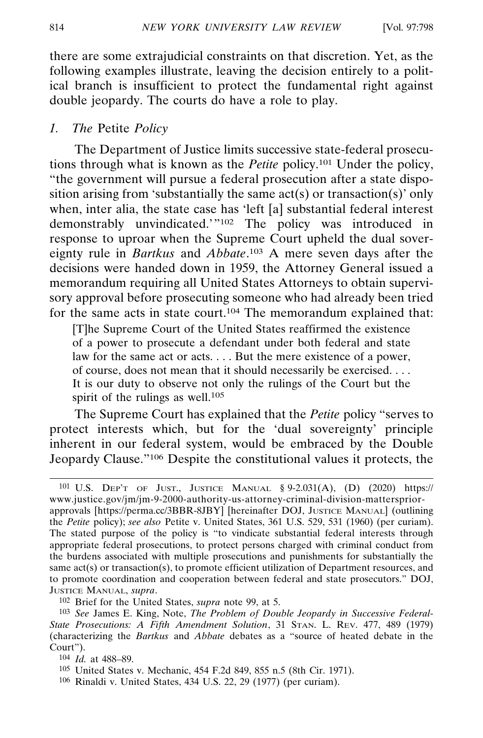there are some extrajudicial constraints on that discretion. Yet, as the following examples illustrate, leaving the decision entirely to a political branch is insufficient to protect the fundamental right against double jeopardy. The courts do have a role to play.

### *1. The* Petite *Policy*

The Department of Justice limits successive state-federal prosecutions through what is known as the *Petite* policy.101 Under the policy, "the government will pursue a federal prosecution after a state disposition arising from 'substantially the same  $act(s)$  or transaction(s)' only when, inter alia, the state case has 'left [a] substantial federal interest demonstrably unvindicated.'"102 The policy was introduced in response to uproar when the Supreme Court upheld the dual sovereignty rule in *Bartkus* and *Abbate*. 103 A mere seven days after the decisions were handed down in 1959, the Attorney General issued a memorandum requiring all United States Attorneys to obtain supervisory approval before prosecuting someone who had already been tried for the same acts in state court.104 The memorandum explained that:

[T]he Supreme Court of the United States reaffirmed the existence of a power to prosecute a defendant under both federal and state law for the same act or acts. . . . But the mere existence of a power, of course, does not mean that it should necessarily be exercised. . . . It is our duty to observe not only the rulings of the Court but the spirit of the rulings as well.<sup>105</sup>

The Supreme Court has explained that the *Petite* policy "serves to protect interests which, but for the 'dual sovereignty' principle inherent in our federal system, would be embraced by the Double Jeopardy Clause."106 Despite the constitutional values it protects, the

106 Rinaldi v. United States, 434 U.S. 22, 29 (1977) (per curiam).

<sup>101</sup> U.S. DEP'T OF JUST., JUSTICE MANUAL § 9-2.031(A), (D) (2020) https:// www.justice.gov/jm/jm-9-2000-authority-us-attorney-criminal-division-matterspriorapprovals [https://perma.cc/3BBR-8JBY] [hereinafter DOJ, JUSTICE MANUAL] (outlining the *Petite* policy); *see also* Petite v. United States, 361 U.S. 529, 531 (1960) (per curiam). The stated purpose of the policy is "to vindicate substantial federal interests through appropriate federal prosecutions, to protect persons charged with criminal conduct from the burdens associated with multiple prosecutions and punishments for substantially the same act(s) or transaction(s), to promote efficient utilization of Department resources, and to promote coordination and cooperation between federal and state prosecutors." DOJ, JUSTICE MANUAL, *supra*.

<sup>102</sup> Brief for the United States, *supra* note 99, at 5.

<sup>103</sup> *See* James E. King, Note, *The Problem of Double Jeopardy in Successive Federal-State Prosecutions: A Fifth Amendment Solution*, 31 STAN. L. REV. 477, 489 (1979) (characterizing the *Bartkus* and *Abbate* debates as a "source of heated debate in the Court").

<sup>104</sup> *Id.* at 488–89.

<sup>105</sup> United States v. Mechanic, 454 F.2d 849, 855 n.5 (8th Cir. 1971).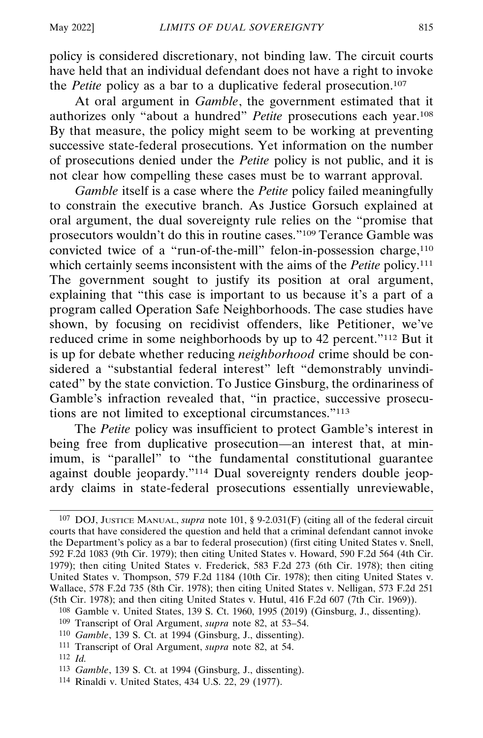policy is considered discretionary, not binding law. The circuit courts have held that an individual defendant does not have a right to invoke the *Petite* policy as a bar to a duplicative federal prosecution.<sup>107</sup>

At oral argument in *Gamble*, the government estimated that it authorizes only "about a hundred" *Petite* prosecutions each year.108 By that measure, the policy might seem to be working at preventing successive state-federal prosecutions. Yet information on the number of prosecutions denied under the *Petite* policy is not public, and it is not clear how compelling these cases must be to warrant approval.

*Gamble* itself is a case where the *Petite* policy failed meaningfully to constrain the executive branch. As Justice Gorsuch explained at oral argument, the dual sovereignty rule relies on the "promise that prosecutors wouldn't do this in routine cases."109 Terance Gamble was convicted twice of a "run-of-the-mill" felon-in-possession charge, $110$ which certainly seems inconsistent with the aims of the *Petite* policy.<sup>111</sup> The government sought to justify its position at oral argument, explaining that "this case is important to us because it's a part of a program called Operation Safe Neighborhoods. The case studies have shown, by focusing on recidivist offenders, like Petitioner, we've reduced crime in some neighborhoods by up to 42 percent."112 But it is up for debate whether reducing *neighborhood* crime should be considered a "substantial federal interest" left "demonstrably unvindicated" by the state conviction. To Justice Ginsburg, the ordinariness of Gamble's infraction revealed that, "in practice, successive prosecutions are not limited to exceptional circumstances."113

The *Petite* policy was insufficient to protect Gamble's interest in being free from duplicative prosecution—an interest that, at minimum, is "parallel" to "the fundamental constitutional guarantee against double jeopardy."114 Dual sovereignty renders double jeopardy claims in state-federal prosecutions essentially unreviewable,

- 110 *Gamble*, 139 S. Ct. at 1994 (Ginsburg, J., dissenting).
- 111 Transcript of Oral Argument, *supra* note 82, at 54.
- 112 *Id.*
- 113 *Gamble*, 139 S. Ct. at 1994 (Ginsburg, J., dissenting).
- 114 Rinaldi v. United States, 434 U.S. 22, 29 (1977).

<sup>107</sup> DOJ, JUSTICE MANUAL, *supra* note 101, § 9-2.031(F) (citing all of the federal circuit courts that have considered the question and held that a criminal defendant cannot invoke the Department's policy as a bar to federal prosecution) (first citing United States v. Snell, 592 F.2d 1083 (9th Cir. 1979); then citing United States v. Howard, 590 F.2d 564 (4th Cir. 1979); then citing United States v. Frederick, 583 F.2d 273 (6th Cir. 1978); then citing United States v. Thompson, 579 F.2d 1184 (10th Cir. 1978); then citing United States v. Wallace, 578 F.2d 735 (8th Cir. 1978); then citing United States v. Nelligan, 573 F.2d 251 (5th Cir. 1978); and then citing United States v. Hutul, 416 F.2d 607 (7th Cir. 1969)).

<sup>108</sup> Gamble v. United States, 139 S. Ct. 1960, 1995 (2019) (Ginsburg, J., dissenting).

<sup>109</sup> Transcript of Oral Argument, *supra* note 82, at 53–54.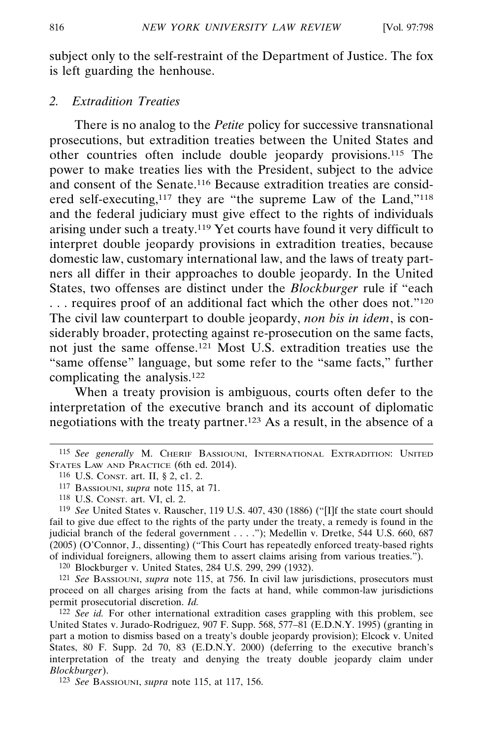subject only to the self-restraint of the Department of Justice. The fox is left guarding the henhouse.

#### *2. Extradition Treaties*

There is no analog to the *Petite* policy for successive transnational prosecutions, but extradition treaties between the United States and other countries often include double jeopardy provisions.115 The power to make treaties lies with the President, subject to the advice and consent of the Senate.116 Because extradition treaties are considered self-executing,<sup>117</sup> they are "the supreme Law of the Land,"<sup>118</sup> and the federal judiciary must give effect to the rights of individuals arising under such a treaty.119 Yet courts have found it very difficult to interpret double jeopardy provisions in extradition treaties, because domestic law, customary international law, and the laws of treaty partners all differ in their approaches to double jeopardy. In the United States, two offenses are distinct under the *Blockburger* rule if "each . . . requires proof of an additional fact which the other does not."120 The civil law counterpart to double jeopardy, *non bis in idem*, is considerably broader, protecting against re-prosecution on the same facts, not just the same offense.121 Most U.S. extradition treaties use the "same offense" language, but some refer to the "same facts," further complicating the analysis.122

When a treaty provision is ambiguous, courts often defer to the interpretation of the executive branch and its account of diplomatic negotiations with the treaty partner.123 As a result, in the absence of a

119 *See* United States v. Rauscher, 119 U.S. 407, 430 (1886) ("[I]f the state court should fail to give due effect to the rights of the party under the treaty, a remedy is found in the judicial branch of the federal government . . . ."); Medellin v. Dretke, 544 U.S. 660, 687 (2005) (O'Connor, J., dissenting) ("This Court has repeatedly enforced treaty-based rights of individual foreigners, allowing them to assert claims arising from various treaties.").

120 Blockburger v. United States, 284 U.S. 299, 299 (1932).

121 *See* BASSIOUNI, *supra* note 115, at 756. In civil law jurisdictions, prosecutors must proceed on all charges arising from the facts at hand, while common-law jurisdictions permit prosecutorial discretion. *Id.*

122 *See id.* For other international extradition cases grappling with this problem, see United States v. Jurado-Rodriguez, 907 F. Supp. 568, 577–81 (E.D.N.Y. 1995) (granting in part a motion to dismiss based on a treaty's double jeopardy provision); Elcock v. United States, 80 F. Supp. 2d 70, 83 (E.D.N.Y. 2000) (deferring to the executive branch's interpretation of the treaty and denying the treaty double jeopardy claim under *Blockburger*).

123 *See* BASSIOUNI, *supra* note 115, at 117, 156.

<sup>115</sup> *See generally* M. CHERIF BASSIOUNI, INTERNATIONAL EXTRADITION: UNITED STATES LAW AND PRACTICE (6th ed. 2014).

<sup>116</sup> U.S. CONST. art. II, § 2, c1. 2.

<sup>117</sup> BASSIOUNI, *supra* note 115, at 71.

<sup>118</sup> U.S. CONST. art. VI, cl. 2.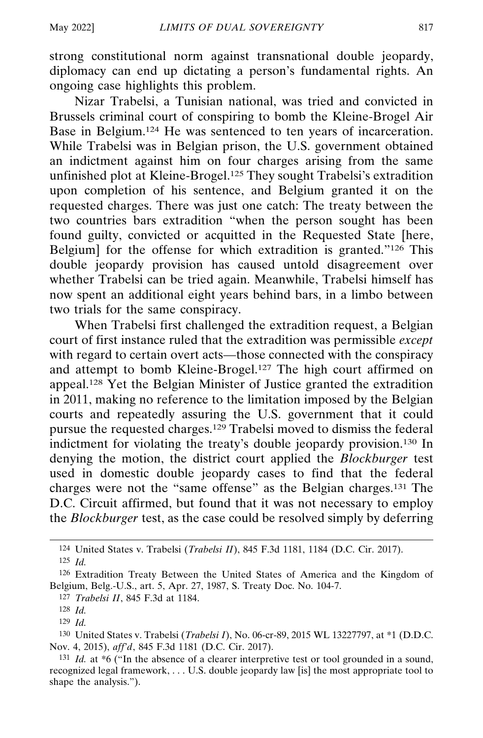strong constitutional norm against transnational double jeopardy, diplomacy can end up dictating a person's fundamental rights. An ongoing case highlights this problem.

Nizar Trabelsi, a Tunisian national, was tried and convicted in Brussels criminal court of conspiring to bomb the Kleine-Brogel Air Base in Belgium.124 He was sentenced to ten years of incarceration. While Trabelsi was in Belgian prison, the U.S. government obtained an indictment against him on four charges arising from the same unfinished plot at Kleine-Brogel.<sup>125</sup> They sought Trabelsi's extradition upon completion of his sentence, and Belgium granted it on the requested charges. There was just one catch: The treaty between the two countries bars extradition "when the person sought has been found guilty, convicted or acquitted in the Requested State [here, Belgium] for the offense for which extradition is granted."126 This double jeopardy provision has caused untold disagreement over whether Trabelsi can be tried again. Meanwhile, Trabelsi himself has now spent an additional eight years behind bars, in a limbo between two trials for the same conspiracy.

When Trabelsi first challenged the extradition request, a Belgian court of first instance ruled that the extradition was permissible *except* with regard to certain overt acts—those connected with the conspiracy and attempt to bomb Kleine-Brogel.127 The high court affirmed on appeal.128 Yet the Belgian Minister of Justice granted the extradition in 2011, making no reference to the limitation imposed by the Belgian courts and repeatedly assuring the U.S. government that it could pursue the requested charges.129 Trabelsi moved to dismiss the federal indictment for violating the treaty's double jeopardy provision.130 In denying the motion, the district court applied the *Blockburger* test used in domestic double jeopardy cases to find that the federal charges were not the "same offense" as the Belgian charges.131 The D.C. Circuit affirmed, but found that it was not necessary to employ the *Blockburger* test, as the case could be resolved simply by deferring

<sup>124</sup> United States v. Trabelsi (*Trabelsi II*), 845 F.3d 1181, 1184 (D.C. Cir. 2017). 125 *Id.*

<sup>126</sup> Extradition Treaty Between the United States of America and the Kingdom of Belgium, Belg.-U.S., art. 5, Apr. 27, 1987, S. Treaty Doc. No. 104-7.

<sup>127</sup> *Trabelsi II*, 845 F.3d at 1184.

<sup>128</sup> *Id.*

<sup>129</sup> *Id.*

<sup>130</sup> United States v. Trabelsi (*Trabelsi I*), No. 06-cr-89, 2015 WL 13227797, at \*1 (D.D.C. Nov. 4, 2015), *aff'd*, 845 F.3d 1181 (D.C. Cir. 2017).

<sup>131</sup> *Id.* at \*6 ("In the absence of a clearer interpretive test or tool grounded in a sound, recognized legal framework, . . . U.S. double jeopardy law [is] the most appropriate tool to shape the analysis.").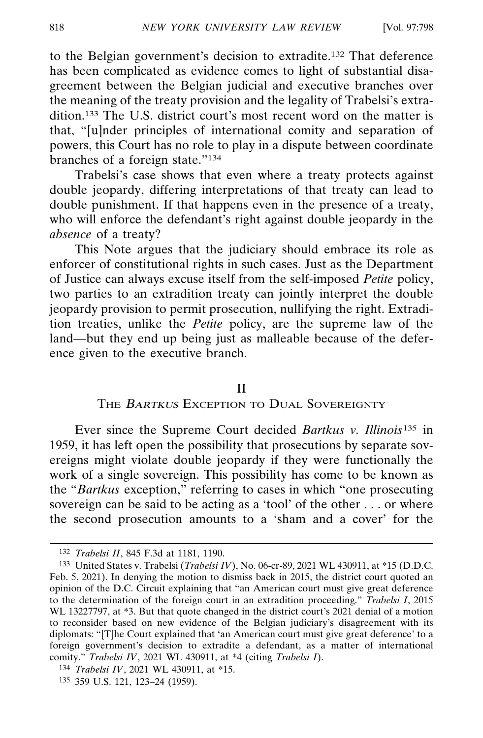to the Belgian government's decision to extradite.132 That deference has been complicated as evidence comes to light of substantial disagreement between the Belgian judicial and executive branches over the meaning of the treaty provision and the legality of Trabelsi's extradition.133 The U.S. district court's most recent word on the matter is that, "[u]nder principles of international comity and separation of powers, this Court has no role to play in a dispute between coordinate branches of a foreign state."134

Trabelsi's case shows that even where a treaty protects against double jeopardy, differing interpretations of that treaty can lead to double punishment. If that happens even in the presence of a treaty, who will enforce the defendant's right against double jeopardy in the *absence* of a treaty?

This Note argues that the judiciary should embrace its role as enforcer of constitutional rights in such cases. Just as the Department of Justice can always excuse itself from the self-imposed *Petite* policy, two parties to an extradition treaty can jointly interpret the double jeopardy provision to permit prosecution, nullifying the right. Extradition treaties, unlike the *Petite* policy, are the supreme law of the land—but they end up being just as malleable because of the deference given to the executive branch.

#### II

## THE BARTKUS EXCEPTION TO DUAL SOVEREIGNTY

Ever since the Supreme Court decided *Bartkus v. Illinois*135 in 1959, it has left open the possibility that prosecutions by separate sovereigns might violate double jeopardy if they were functionally the work of a single sovereign. This possibility has come to be known as the "*Bartkus* exception," referring to cases in which "one prosecuting sovereign can be said to be acting as a 'tool' of the other . . . or where the second prosecution amounts to a 'sham and a cover' for the

<sup>132</sup> *Trabelsi II*, 845 F.3d at 1181, 1190.

<sup>133</sup> United States v. Trabelsi (*Trabelsi IV*), No. 06-cr-89, 2021 WL 430911, at \*15 (D.D.C. Feb. 5, 2021). In denying the motion to dismiss back in 2015, the district court quoted an opinion of the D.C. Circuit explaining that "an American court must give great deference to the determination of the foreign court in an extradition proceeding." *Trabelsi I*, 2015 WL 13227797, at \*3. But that quote changed in the district court's 2021 denial of a motion to reconsider based on new evidence of the Belgian judiciary's disagreement with its diplomats: "[T]he Court explained that 'an American court must give great deference' to a foreign government's decision to extradite a defendant, as a matter of international comity." *Trabelsi IV*, 2021 WL 430911, at \*4 (citing *Trabelsi I*).

<sup>134</sup> *Trabelsi IV*, 2021 WL 430911, at \*15.

<sup>135</sup> 359 U.S. 121, 123–24 (1959).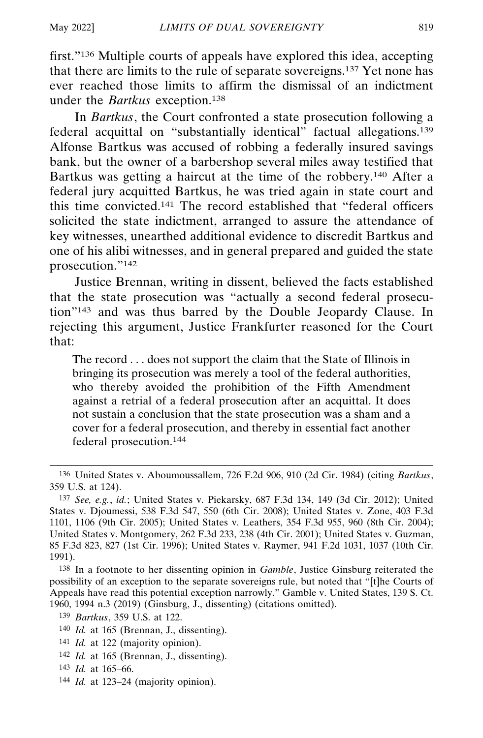first."136 Multiple courts of appeals have explored this idea, accepting that there are limits to the rule of separate sovereigns.137 Yet none has ever reached those limits to affirm the dismissal of an indictment under the *Bartkus* exception.138

In *Bartkus*, the Court confronted a state prosecution following a federal acquittal on "substantially identical" factual allegations.<sup>139</sup> Alfonse Bartkus was accused of robbing a federally insured savings bank, but the owner of a barbershop several miles away testified that Bartkus was getting a haircut at the time of the robbery.140 After a federal jury acquitted Bartkus, he was tried again in state court and this time convicted.141 The record established that "federal officers solicited the state indictment, arranged to assure the attendance of key witnesses, unearthed additional evidence to discredit Bartkus and one of his alibi witnesses, and in general prepared and guided the state prosecution."142

Justice Brennan, writing in dissent, believed the facts established that the state prosecution was "actually a second federal prosecution"143 and was thus barred by the Double Jeopardy Clause. In rejecting this argument, Justice Frankfurter reasoned for the Court that:

The record . . . does not support the claim that the State of Illinois in bringing its prosecution was merely a tool of the federal authorities, who thereby avoided the prohibition of the Fifth Amendment against a retrial of a federal prosecution after an acquittal. It does not sustain a conclusion that the state prosecution was a sham and a cover for a federal prosecution, and thereby in essential fact another federal prosecution.144

- 141 *Id.* at 122 (majority opinion).
- 142 *Id.* at 165 (Brennan, J., dissenting).
- 143 *Id.* at 165–66.
- 144 *Id.* at 123–24 (majority opinion).

<sup>136</sup> United States v. Aboumoussallem, 726 F.2d 906, 910 (2d Cir. 1984) (citing *Bartkus*, 359 U.S. at 124).

<sup>137</sup> *See, e.g.*, *id.*; United States v. Piekarsky, 687 F.3d 134, 149 (3d Cir. 2012); United States v. Djoumessi, 538 F.3d 547, 550 (6th Cir. 2008); United States v. Zone, 403 F.3d 1101, 1106 (9th Cir. 2005); United States v. Leathers, 354 F.3d 955, 960 (8th Cir. 2004); United States v. Montgomery, 262 F.3d 233, 238 (4th Cir. 2001); United States v. Guzman, 85 F.3d 823, 827 (1st Cir. 1996); United States v. Raymer, 941 F.2d 1031, 1037 (10th Cir. 1991).

<sup>138</sup> In a footnote to her dissenting opinion in *Gamble*, Justice Ginsburg reiterated the possibility of an exception to the separate sovereigns rule, but noted that "[t]he Courts of Appeals have read this potential exception narrowly." Gamble v. United States, 139 S. Ct. 1960, 1994 n.3 (2019) (Ginsburg, J., dissenting) (citations omitted).

<sup>139</sup> *Bartkus*, 359 U.S. at 122.

<sup>140</sup> *Id.* at 165 (Brennan, J., dissenting).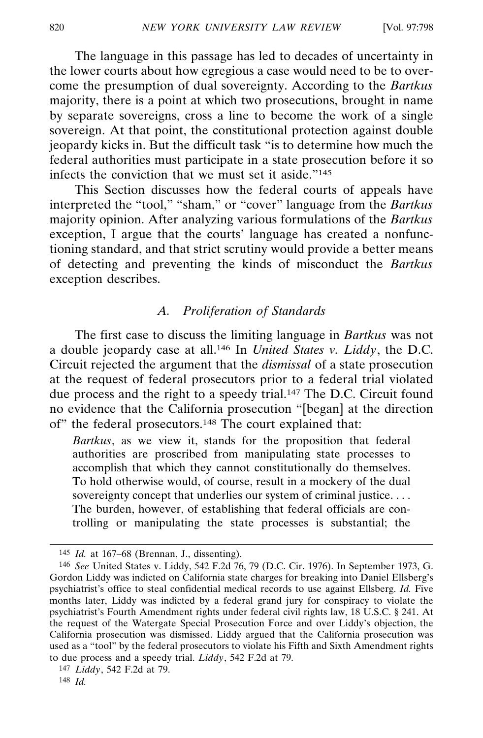The language in this passage has led to decades of uncertainty in the lower courts about how egregious a case would need to be to overcome the presumption of dual sovereignty. According to the *Bartkus* majority, there is a point at which two prosecutions, brought in name by separate sovereigns, cross a line to become the work of a single sovereign. At that point, the constitutional protection against double jeopardy kicks in. But the difficult task "is to determine how much the federal authorities must participate in a state prosecution before it so infects the conviction that we must set it aside."145

This Section discusses how the federal courts of appeals have interpreted the "tool," "sham," or "cover" language from the *Bartkus* majority opinion. After analyzing various formulations of the *Bartkus* exception, I argue that the courts' language has created a nonfunctioning standard, and that strict scrutiny would provide a better means of detecting and preventing the kinds of misconduct the *Bartkus* exception describes.

## *A. Proliferation of Standards*

The first case to discuss the limiting language in *Bartkus* was not a double jeopardy case at all.146 In *United States v. Liddy*, the D.C. Circuit rejected the argument that the *dismissal* of a state prosecution at the request of federal prosecutors prior to a federal trial violated due process and the right to a speedy trial.147 The D.C. Circuit found no evidence that the California prosecution "[began] at the direction of" the federal prosecutors.148 The court explained that:

*Bartkus*, as we view it, stands for the proposition that federal authorities are proscribed from manipulating state processes to accomplish that which they cannot constitutionally do themselves. To hold otherwise would, of course, result in a mockery of the dual sovereignty concept that underlies our system of criminal justice. . . . The burden, however, of establishing that federal officials are controlling or manipulating the state processes is substantial; the

<sup>145</sup> *Id.* at 167–68 (Brennan, J., dissenting).

<sup>146</sup> *See* United States v. Liddy, 542 F.2d 76, 79 (D.C. Cir. 1976). In September 1973, G. Gordon Liddy was indicted on California state charges for breaking into Daniel Ellsberg's psychiatrist's office to steal confidential medical records to use against Ellsberg. *Id.* Five months later, Liddy was indicted by a federal grand jury for conspiracy to violate the psychiatrist's Fourth Amendment rights under federal civil rights law, 18 U.S.C. § 241. At the request of the Watergate Special Prosecution Force and over Liddy's objection, the California prosecution was dismissed. Liddy argued that the California prosecution was used as a "tool" by the federal prosecutors to violate his Fifth and Sixth Amendment rights to due process and a speedy trial. *Liddy*, 542 F.2d at 79.

<sup>147</sup> *Liddy*, 542 F.2d at 79.

<sup>148</sup> *Id.*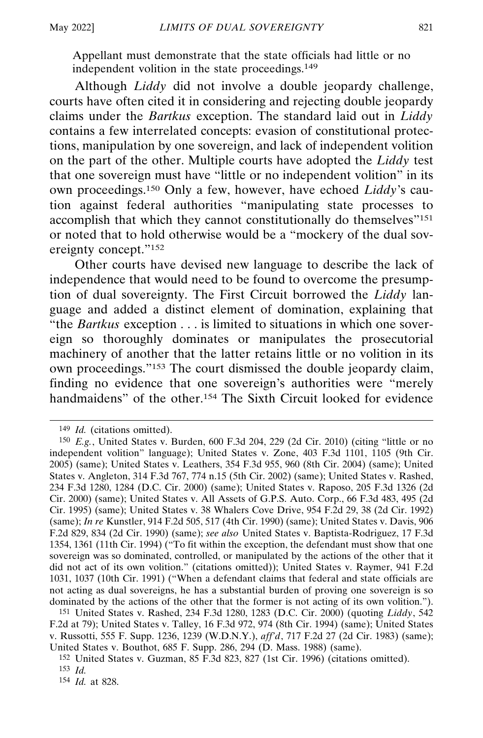Appellant must demonstrate that the state officials had little or no independent volition in the state proceedings.149

Although *Liddy* did not involve a double jeopardy challenge, courts have often cited it in considering and rejecting double jeopardy claims under the *Bartkus* exception. The standard laid out in *Liddy* contains a few interrelated concepts: evasion of constitutional protections, manipulation by one sovereign, and lack of independent volition on the part of the other. Multiple courts have adopted the *Liddy* test that one sovereign must have "little or no independent volition" in its own proceedings.150 Only a few, however, have echoed *Liddy*'s caution against federal authorities "manipulating state processes to accomplish that which they cannot constitutionally do themselves"<sup>151</sup> or noted that to hold otherwise would be a "mockery of the dual sovereignty concept."152

Other courts have devised new language to describe the lack of independence that would need to be found to overcome the presumption of dual sovereignty. The First Circuit borrowed the *Liddy* language and added a distinct element of domination, explaining that "the *Bartkus* exception . . . is limited to situations in which one sovereign so thoroughly dominates or manipulates the prosecutorial machinery of another that the latter retains little or no volition in its own proceedings."153 The court dismissed the double jeopardy claim, finding no evidence that one sovereign's authorities were "merely handmaidens" of the other.<sup>154</sup> The Sixth Circuit looked for evidence

154 *Id.* at 828.

<sup>149</sup> *Id.* (citations omitted).

<sup>150</sup> *E.g.*, United States v. Burden, 600 F.3d 204, 229 (2d Cir. 2010) (citing "little or no independent volition" language); United States v. Zone, 403 F.3d 1101, 1105 (9th Cir. 2005) (same); United States v. Leathers, 354 F.3d 955, 960 (8th Cir. 2004) (same); United States v. Angleton, 314 F.3d 767, 774 n.15 (5th Cir. 2002) (same); United States v. Rashed, 234 F.3d 1280, 1284 (D.C. Cir. 2000) (same); United States v. Raposo, 205 F.3d 1326 (2d Cir. 2000) (same); United States v. All Assets of G.P.S. Auto. Corp., 66 F.3d 483, 495 (2d Cir. 1995) (same); United States v. 38 Whalers Cove Drive, 954 F.2d 29, 38 (2d Cir. 1992) (same); *In re* Kunstler, 914 F.2d 505, 517 (4th Cir. 1990) (same); United States v. Davis, 906 F.2d 829, 834 (2d Cir. 1990) (same); *see also* United States v. Baptista-Rodriguez, 17 F.3d 1354, 1361 (11th Cir. 1994) ("To fit within the exception, the defendant must show that one sovereign was so dominated, controlled, or manipulated by the actions of the other that it did not act of its own volition." (citations omitted)); United States v. Raymer, 941 F.2d 1031, 1037 (10th Cir. 1991) ("When a defendant claims that federal and state officials are not acting as dual sovereigns, he has a substantial burden of proving one sovereign is so dominated by the actions of the other that the former is not acting of its own volition.").

<sup>151</sup> United States v. Rashed, 234 F.3d 1280, 1283 (D.C. Cir. 2000) (quoting *Liddy*, 542 F.2d at 79); United States v. Talley, 16 F.3d 972, 974 (8th Cir. 1994) (same); United States v. Russotti, 555 F. Supp. 1236, 1239 (W.D.N.Y.), *aff'd*, 717 F.2d 27 (2d Cir. 1983) (same); United States v. Bouthot, 685 F. Supp. 286, 294 (D. Mass. 1988) (same).

<sup>152</sup> United States v. Guzman, 85 F.3d 823, 827 (1st Cir. 1996) (citations omitted). 153 *Id.*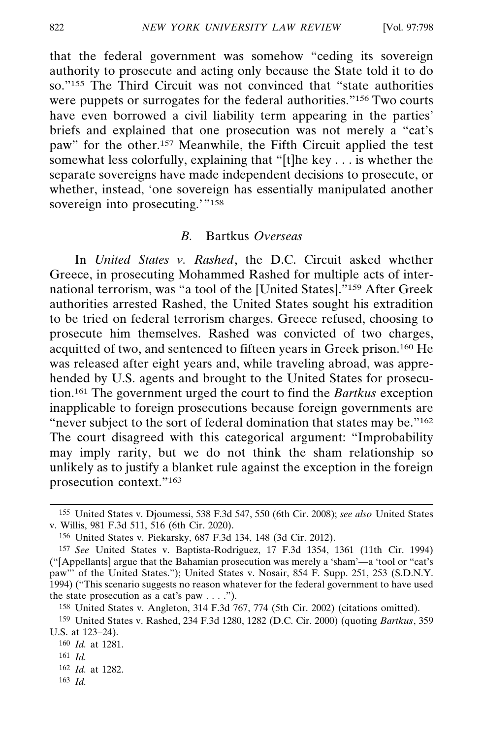that the federal government was somehow "ceding its sovereign authority to prosecute and acting only because the State told it to do so."155 The Third Circuit was not convinced that "state authorities were puppets or surrogates for the federal authorities."156 Two courts have even borrowed a civil liability term appearing in the parties' briefs and explained that one prosecution was not merely a "cat's paw" for the other.157 Meanwhile, the Fifth Circuit applied the test somewhat less colorfully, explaining that "[t]he key . . . is whether the separate sovereigns have made independent decisions to prosecute, or whether, instead, 'one sovereign has essentially manipulated another sovereign into prosecuting."<sup>158</sup>

#### *B.* Bartkus *Overseas*

In *United States v. Rashed*, the D.C. Circuit asked whether Greece, in prosecuting Mohammed Rashed for multiple acts of international terrorism, was "a tool of the [United States]."159 After Greek authorities arrested Rashed, the United States sought his extradition to be tried on federal terrorism charges. Greece refused, choosing to prosecute him themselves. Rashed was convicted of two charges, acquitted of two, and sentenced to fifteen years in Greek prison.160 He was released after eight years and, while traveling abroad, was apprehended by U.S. agents and brought to the United States for prosecution.161 The government urged the court to find the *Bartkus* exception inapplicable to foreign prosecutions because foreign governments are "never subject to the sort of federal domination that states may be."<sup>162</sup> The court disagreed with this categorical argument: "Improbability may imply rarity, but we do not think the sham relationship so unlikely as to justify a blanket rule against the exception in the foreign prosecution context."163

162 *Id.* at 1282.

<sup>155</sup> United States v. Djoumessi, 538 F.3d 547, 550 (6th Cir. 2008); *see also* United States v. Willis, 981 F.3d 511, 516 (6th Cir. 2020).

<sup>156</sup> United States v. Piekarsky, 687 F.3d 134, 148 (3d Cir. 2012).

<sup>157</sup> *See* United States v. Baptista-Rodriguez, 17 F.3d 1354, 1361 (11th Cir. 1994) ("[Appellants] argue that the Bahamian prosecution was merely a 'sham'—a 'tool or "cat's paw"' of the United States."); United States v. Nosair, 854 F. Supp. 251, 253 (S.D.N.Y. 1994) ("This scenario suggests no reason whatever for the federal government to have used the state prosecution as a cat's paw  $\dots$ .").

<sup>158</sup> United States v. Angleton, 314 F.3d 767, 774 (5th Cir. 2002) (citations omitted).

<sup>159</sup> United States v. Rashed, 234 F.3d 1280, 1282 (D.C. Cir. 2000) (quoting *Bartkus*, 359 U.S. at 123–24).

<sup>160</sup> *Id.* at 1281.

<sup>161</sup> *Id.*

<sup>163</sup> *Id.*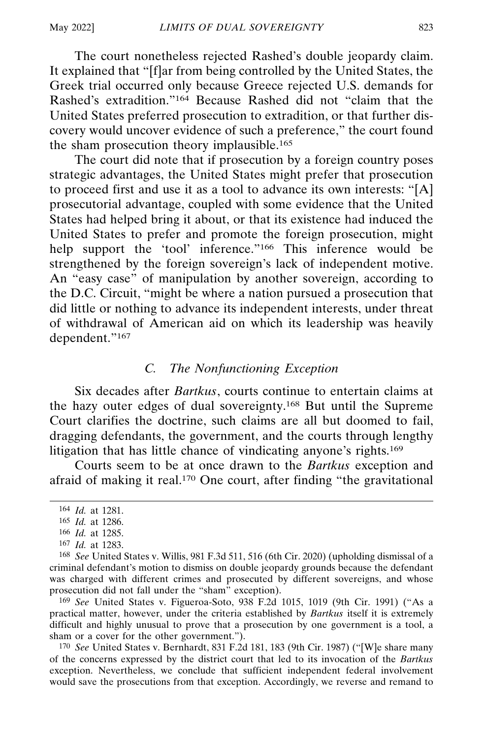The court nonetheless rejected Rashed's double jeopardy claim. It explained that "[f]ar from being controlled by the United States, the Greek trial occurred only because Greece rejected U.S. demands for Rashed's extradition."164 Because Rashed did not "claim that the United States preferred prosecution to extradition, or that further discovery would uncover evidence of such a preference," the court found the sham prosecution theory implausible.165

The court did note that if prosecution by a foreign country poses strategic advantages, the United States might prefer that prosecution to proceed first and use it as a tool to advance its own interests: "[A] prosecutorial advantage, coupled with some evidence that the United States had helped bring it about, or that its existence had induced the United States to prefer and promote the foreign prosecution, might help support the 'tool' inference."<sup>166</sup> This inference would be strengthened by the foreign sovereign's lack of independent motive. An "easy case" of manipulation by another sovereign, according to the D.C. Circuit, "might be where a nation pursued a prosecution that did little or nothing to advance its independent interests, under threat of withdrawal of American aid on which its leadership was heavily dependent."167

## *C. The Nonfunctioning Exception*

Six decades after *Bartkus*, courts continue to entertain claims at the hazy outer edges of dual sovereignty.168 But until the Supreme Court clarifies the doctrine, such claims are all but doomed to fail, dragging defendants, the government, and the courts through lengthy litigation that has little chance of vindicating anyone's rights.169

Courts seem to be at once drawn to the *Bartkus* exception and afraid of making it real.170 One court, after finding "the gravitational

169 *See* United States v. Figueroa-Soto, 938 F.2d 1015, 1019 (9th Cir. 1991) ("As a practical matter, however, under the criteria established by *Bartkus* itself it is extremely difficult and highly unusual to prove that a prosecution by one government is a tool, a sham or a cover for the other government.").

170 *See* United States v. Bernhardt, 831 F.2d 181, 183 (9th Cir. 1987) ("[W]e share many of the concerns expressed by the district court that led to its invocation of the *Bartkus* exception. Nevertheless, we conclude that sufficient independent federal involvement would save the prosecutions from that exception. Accordingly, we reverse and remand to

<sup>164</sup> *Id.* at 1281.

<sup>165</sup> *Id.* at 1286.

<sup>166</sup> *Id.* at 1285.

<sup>167</sup> *Id.* at 1283.

<sup>168</sup> *See* United States v. Willis, 981 F.3d 511, 516 (6th Cir. 2020) (upholding dismissal of a criminal defendant's motion to dismiss on double jeopardy grounds because the defendant was charged with different crimes and prosecuted by different sovereigns, and whose prosecution did not fall under the "sham" exception).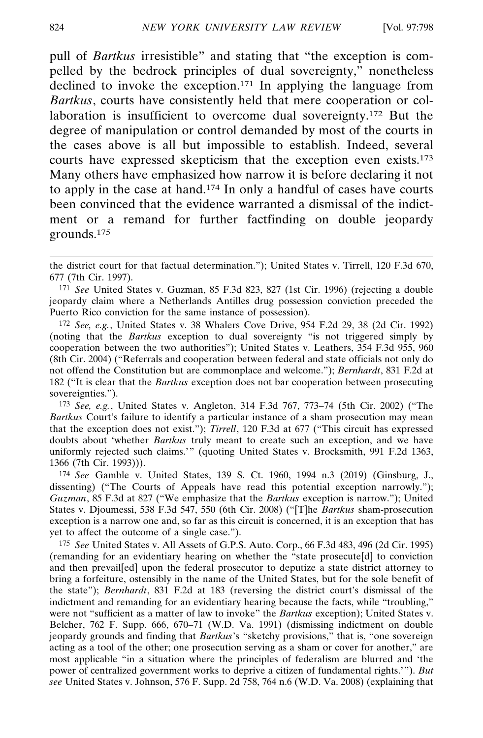pull of *Bartkus* irresistible" and stating that "the exception is compelled by the bedrock principles of dual sovereignty," nonetheless declined to invoke the exception.171 In applying the language from *Bartkus*, courts have consistently held that mere cooperation or collaboration is insufficient to overcome dual sovereignty.172 But the degree of manipulation or control demanded by most of the courts in the cases above is all but impossible to establish. Indeed, several courts have expressed skepticism that the exception even exists.173 Many others have emphasized how narrow it is before declaring it not to apply in the case at hand.174 In only a handful of cases have courts been convinced that the evidence warranted a dismissal of the indictment or a remand for further factfinding on double jeopardy grounds.175

173 *See, e.g.*, United States v. Angleton, 314 F.3d 767, 773–74 (5th Cir. 2002) ("The *Bartkus* Court's failure to identify a particular instance of a sham prosecution may mean that the exception does not exist."); *Tirrell*, 120 F.3d at 677 ("This circuit has expressed doubts about 'whether *Bartkus* truly meant to create such an exception, and we have uniformly rejected such claims.'" (quoting United States v. Brocksmith, 991 F.2d 1363, 1366 (7th Cir. 1993))).

174 *See* Gamble v. United States, 139 S. Ct. 1960, 1994 n.3 (2019) (Ginsburg, J., dissenting) ("The Courts of Appeals have read this potential exception narrowly."); *Guzman*, 85 F.3d at 827 ("We emphasize that the *Bartkus* exception is narrow."); United States v. Djoumessi, 538 F.3d 547, 550 (6th Cir. 2008) ("[T]he *Bartkus* sham-prosecution exception is a narrow one and, so far as this circuit is concerned, it is an exception that has yet to affect the outcome of a single case.").

175 *See* United States v. All Assets of G.P.S. Auto. Corp., 66 F.3d 483, 496 (2d Cir. 1995) (remanding for an evidentiary hearing on whether the "state prosecute[d] to conviction and then prevail[ed] upon the federal prosecutor to deputize a state district attorney to bring a forfeiture, ostensibly in the name of the United States, but for the sole benefit of the state"); *Bernhardt*, 831 F.2d at 183 (reversing the district court's dismissal of the indictment and remanding for an evidentiary hearing because the facts, while "troubling," were not "sufficient as a matter of law to invoke" the *Bartkus* exception); United States v. Belcher, 762 F. Supp. 666, 670–71 (W.D. Va. 1991) (dismissing indictment on double jeopardy grounds and finding that *Bartkus*'s "sketchy provisions," that is, "one sovereign acting as a tool of the other; one prosecution serving as a sham or cover for another," are most applicable "in a situation where the principles of federalism are blurred and 'the power of centralized government works to deprive a citizen of fundamental rights.'"). *But see* United States v. Johnson, 576 F. Supp. 2d 758, 764 n.6 (W.D. Va. 2008) (explaining that

the district court for that factual determination."); United States v. Tirrell, 120 F.3d 670, 677 (7th Cir. 1997).

<sup>171</sup> *See* United States v. Guzman, 85 F.3d 823, 827 (1st Cir. 1996) (rejecting a double jeopardy claim where a Netherlands Antilles drug possession conviction preceded the Puerto Rico conviction for the same instance of possession).

<sup>172</sup> *See, e.g.*, United States v. 38 Whalers Cove Drive, 954 F.2d 29, 38 (2d Cir. 1992) (noting that the *Bartkus* exception to dual sovereignty "is not triggered simply by cooperation between the two authorities"); United States v. Leathers, 354 F.3d 955, 960 (8th Cir. 2004) ("Referrals and cooperation between federal and state officials not only do not offend the Constitution but are commonplace and welcome."); *Bernhardt*, 831 F.2d at 182 ("It is clear that the *Bartkus* exception does not bar cooperation between prosecuting sovereignties.").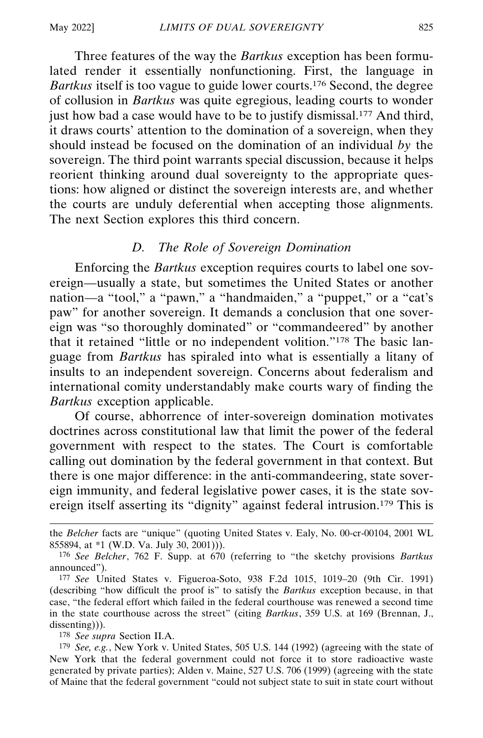Three features of the way the *Bartkus* exception has been formulated render it essentially nonfunctioning. First, the language in *Bartkus* itself is too vague to guide lower courts.176 Second, the degree of collusion in *Bartkus* was quite egregious, leading courts to wonder just how bad a case would have to be to justify dismissal.<sup>177</sup> And third, it draws courts' attention to the domination of a sovereign, when they should instead be focused on the domination of an individual *by* the sovereign. The third point warrants special discussion, because it helps reorient thinking around dual sovereignty to the appropriate questions: how aligned or distinct the sovereign interests are, and whether the courts are unduly deferential when accepting those alignments. The next Section explores this third concern.

### *D. The Role of Sovereign Domination*

Enforcing the *Bartkus* exception requires courts to label one sovereign—usually a state, but sometimes the United States or another nation—a "tool," a "pawn," a "handmaiden," a "puppet," or a "cat's paw" for another sovereign. It demands a conclusion that one sovereign was "so thoroughly dominated" or "commandeered" by another that it retained "little or no independent volition."178 The basic language from *Bartkus* has spiraled into what is essentially a litany of insults to an independent sovereign. Concerns about federalism and international comity understandably make courts wary of finding the *Bartkus* exception applicable.

Of course, abhorrence of inter-sovereign domination motivates doctrines across constitutional law that limit the power of the federal government with respect to the states. The Court is comfortable calling out domination by the federal government in that context. But there is one major difference: in the anti-commandeering, state sovereign immunity, and federal legislative power cases, it is the state sovereign itself asserting its "dignity" against federal intrusion.179 This is

178 *See supra* Section II.A.

the *Belcher* facts are "unique" (quoting United States v. Ealy, No. 00-cr-00104, 2001 WL 855894, at \*1 (W.D. Va. July 30, 2001))).

<sup>176</sup> *See Belcher*, 762 F. Supp. at 670 (referring to "the sketchy provisions *Bartkus* announced").

<sup>177</sup> *See* United States v. Figueroa-Soto, 938 F.2d 1015, 1019–20 (9th Cir. 1991) (describing "how difficult the proof is" to satisfy the *Bartkus* exception because, in that case, "the federal effort which failed in the federal courthouse was renewed a second time in the state courthouse across the street" (citing *Bartkus*, 359 U.S. at 169 (Brennan, J., dissenting))).

<sup>179</sup> *See, e.g.*, New York v. United States, 505 U.S. 144 (1992) (agreeing with the state of New York that the federal government could not force it to store radioactive waste generated by private parties); Alden v. Maine, 527 U.S. 706 (1999) (agreeing with the state of Maine that the federal government "could not subject state to suit in state court without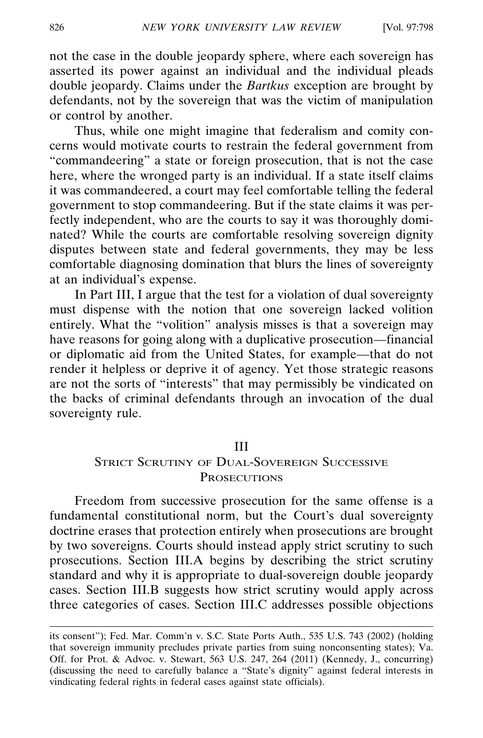not the case in the double jeopardy sphere, where each sovereign has asserted its power against an individual and the individual pleads double jeopardy. Claims under the *Bartkus* exception are brought by defendants, not by the sovereign that was the victim of manipulation or control by another.

Thus, while one might imagine that federalism and comity concerns would motivate courts to restrain the federal government from "commandeering" a state or foreign prosecution, that is not the case here, where the wronged party is an individual. If a state itself claims it was commandeered, a court may feel comfortable telling the federal government to stop commandeering. But if the state claims it was perfectly independent, who are the courts to say it was thoroughly dominated? While the courts are comfortable resolving sovereign dignity disputes between state and federal governments, they may be less comfortable diagnosing domination that blurs the lines of sovereignty at an individual's expense.

In Part III, I argue that the test for a violation of dual sovereignty must dispense with the notion that one sovereign lacked volition entirely. What the "volition" analysis misses is that a sovereign may have reasons for going along with a duplicative prosecution—financial or diplomatic aid from the United States, for example—that do not render it helpless or deprive it of agency. Yet those strategic reasons are not the sorts of "interests" that may permissibly be vindicated on the backs of criminal defendants through an invocation of the dual sovereignty rule.

#### III

## STRICT SCRUTINY OF DUAL-SOVEREIGN SUCCESSIVE **PROSECUTIONS**

Freedom from successive prosecution for the same offense is a fundamental constitutional norm, but the Court's dual sovereignty doctrine erases that protection entirely when prosecutions are brought by two sovereigns. Courts should instead apply strict scrutiny to such prosecutions. Section III.A begins by describing the strict scrutiny standard and why it is appropriate to dual-sovereign double jeopardy cases. Section III.B suggests how strict scrutiny would apply across three categories of cases. Section III.C addresses possible objections

its consent"); Fed. Mar. Comm'n v. S.C. State Ports Auth., 535 U.S. 743 (2002) (holding that sovereign immunity precludes private parties from suing nonconsenting states); Va. Off. for Prot. & Advoc. v. Stewart, 563 U.S. 247, 264 (2011) (Kennedy, J., concurring) (discussing the need to carefully balance a "State's dignity" against federal interests in vindicating federal rights in federal cases against state officials).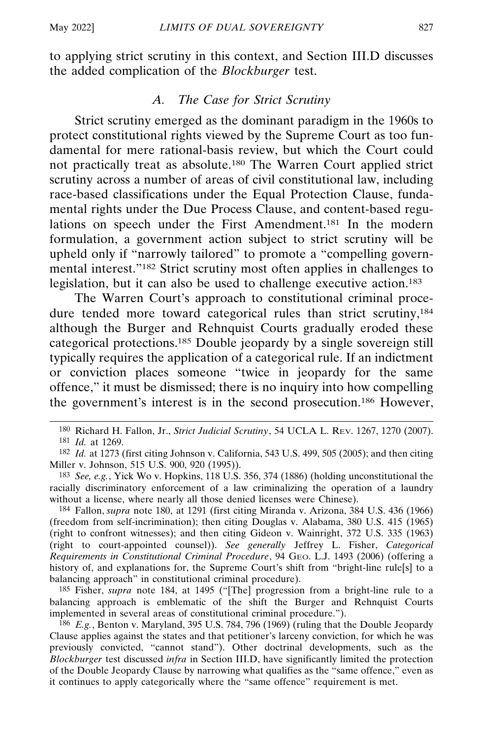to applying strict scrutiny in this context, and Section III.D discusses the added complication of the *Blockburger* test.

## *A. The Case for Strict Scrutiny*

Strict scrutiny emerged as the dominant paradigm in the 1960s to protect constitutional rights viewed by the Supreme Court as too fundamental for mere rational-basis review, but which the Court could not practically treat as absolute.180 The Warren Court applied strict scrutiny across a number of areas of civil constitutional law, including race-based classifications under the Equal Protection Clause, fundamental rights under the Due Process Clause, and content-based regulations on speech under the First Amendment.181 In the modern formulation, a government action subject to strict scrutiny will be upheld only if "narrowly tailored" to promote a "compelling governmental interest."182 Strict scrutiny most often applies in challenges to legislation, but it can also be used to challenge executive action.183

The Warren Court's approach to constitutional criminal procedure tended more toward categorical rules than strict scrutiny,<sup>184</sup> although the Burger and Rehnquist Courts gradually eroded these categorical protections.185 Double jeopardy by a single sovereign still typically requires the application of a categorical rule. If an indictment or conviction places someone "twice in jeopardy for the same offence," it must be dismissed; there is no inquiry into how compelling the government's interest is in the second prosecution.186 However,

183 *See, e.g.*, Yick Wo v. Hopkins, 118 U.S. 356, 374 (1886) (holding unconstitutional the racially discriminatory enforcement of a law criminalizing the operation of a laundry without a license, where nearly all those denied licenses were Chinese).

184 Fallon, *supra* note 180, at 1291 (first citing Miranda v. Arizona, 384 U.S. 436 (1966) (freedom from self-incrimination); then citing Douglas v. Alabama, 380 U.S. 415 (1965) (right to confront witnesses); and then citing Gideon v. Wainright, 372 U.S. 335 (1963) (right to court-appointed counsel)). *See generally* Jeffrey L. Fisher, *Categorical Requirements in Constitutional Criminal Procedure*, 94 GEO. L.J. 1493 (2006) (offering a history of, and explanations for, the Supreme Court's shift from "bright-line rule[s] to a balancing approach" in constitutional criminal procedure).

<sup>185</sup> Fisher, *supra* note 184, at 1495 ("[The] progression from a bright-line rule to a balancing approach is emblematic of the shift the Burger and Rehnquist Courts implemented in several areas of constitutional criminal procedure.").

186 *E.g.*, Benton v. Maryland, 395 U.S. 784, 796 (1969) (ruling that the Double Jeopardy Clause applies against the states and that petitioner's larceny conviction, for which he was previously convicted, "cannot stand"). Other doctrinal developments, such as the *Blockburger* test discussed *infra* in Section III.D, have significantly limited the protection of the Double Jeopardy Clause by narrowing what qualifies as the "same offence," even as it continues to apply categorically where the "same offence" requirement is met.

<sup>180</sup> Richard H. Fallon, Jr., *Strict Judicial Scrutiny*, 54 UCLA L. REV. 1267, 1270 (2007).

<sup>181</sup> *Id.* at 1269.

<sup>182</sup> *Id.* at 1273 (first citing Johnson v. California, 543 U.S. 499, 505 (2005); and then citing Miller v. Johnson, 515 U.S. 900, 920 (1995)).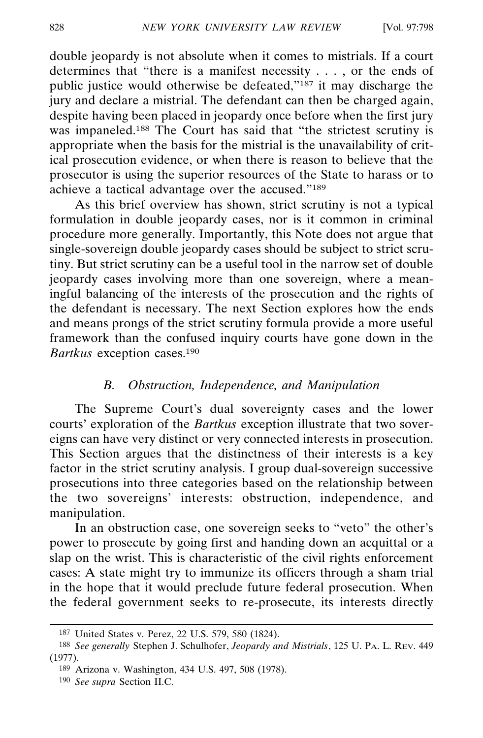double jeopardy is not absolute when it comes to mistrials. If a court determines that "there is a manifest necessity . . . , or the ends of public justice would otherwise be defeated,"187 it may discharge the jury and declare a mistrial. The defendant can then be charged again, despite having been placed in jeopardy once before when the first jury was impaneled.<sup>188</sup> The Court has said that "the strictest scrutiny is appropriate when the basis for the mistrial is the unavailability of critical prosecution evidence, or when there is reason to believe that the prosecutor is using the superior resources of the State to harass or to achieve a tactical advantage over the accused."189

As this brief overview has shown, strict scrutiny is not a typical formulation in double jeopardy cases, nor is it common in criminal procedure more generally. Importantly, this Note does not argue that single-sovereign double jeopardy cases should be subject to strict scrutiny. But strict scrutiny can be a useful tool in the narrow set of double jeopardy cases involving more than one sovereign, where a meaningful balancing of the interests of the prosecution and the rights of the defendant is necessary. The next Section explores how the ends and means prongs of the strict scrutiny formula provide a more useful framework than the confused inquiry courts have gone down in the *Bartkus* exception cases.190

## *B. Obstruction, Independence, and Manipulation*

The Supreme Court's dual sovereignty cases and the lower courts' exploration of the *Bartkus* exception illustrate that two sovereigns can have very distinct or very connected interests in prosecution. This Section argues that the distinctness of their interests is a key factor in the strict scrutiny analysis. I group dual-sovereign successive prosecutions into three categories based on the relationship between the two sovereigns' interests: obstruction, independence, and manipulation.

In an obstruction case, one sovereign seeks to "veto" the other's power to prosecute by going first and handing down an acquittal or a slap on the wrist. This is characteristic of the civil rights enforcement cases: A state might try to immunize its officers through a sham trial in the hope that it would preclude future federal prosecution. When the federal government seeks to re-prosecute, its interests directly

<sup>187</sup> United States v. Perez, 22 U.S. 579, 580 (1824).

<sup>188</sup> *See generally* Stephen J. Schulhofer, *Jeopardy and Mistrials*, 125 U. PA. L. REV. 449 (1977).

<sup>189</sup> Arizona v. Washington, 434 U.S. 497, 508 (1978).

<sup>190</sup> *See supra* Section II.C.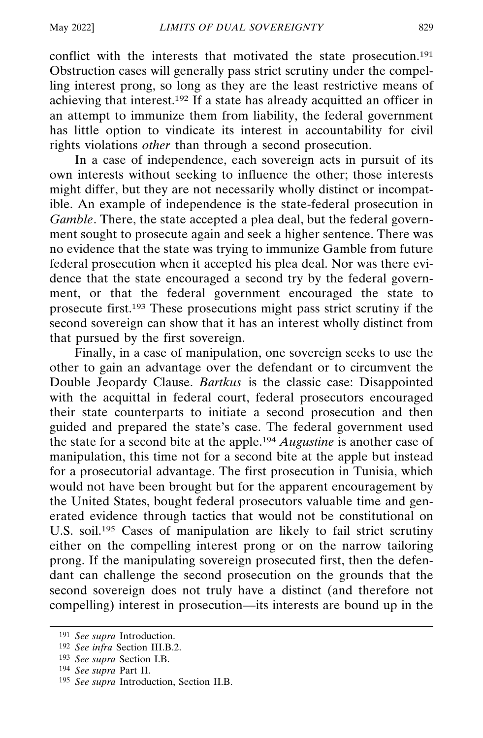conflict with the interests that motivated the state prosecution.<sup>191</sup> Obstruction cases will generally pass strict scrutiny under the compelling interest prong, so long as they are the least restrictive means of achieving that interest.192 If a state has already acquitted an officer in an attempt to immunize them from liability, the federal government has little option to vindicate its interest in accountability for civil rights violations *other* than through a second prosecution.

In a case of independence, each sovereign acts in pursuit of its own interests without seeking to influence the other; those interests might differ, but they are not necessarily wholly distinct or incompatible. An example of independence is the state-federal prosecution in *Gamble*. There, the state accepted a plea deal, but the federal government sought to prosecute again and seek a higher sentence. There was no evidence that the state was trying to immunize Gamble from future federal prosecution when it accepted his plea deal. Nor was there evidence that the state encouraged a second try by the federal government, or that the federal government encouraged the state to prosecute first.193 These prosecutions might pass strict scrutiny if the second sovereign can show that it has an interest wholly distinct from that pursued by the first sovereign.

Finally, in a case of manipulation, one sovereign seeks to use the other to gain an advantage over the defendant or to circumvent the Double Jeopardy Clause. *Bartkus* is the classic case: Disappointed with the acquittal in federal court, federal prosecutors encouraged their state counterparts to initiate a second prosecution and then guided and prepared the state's case. The federal government used the state for a second bite at the apple.194 *Augustine* is another case of manipulation, this time not for a second bite at the apple but instead for a prosecutorial advantage. The first prosecution in Tunisia, which would not have been brought but for the apparent encouragement by the United States, bought federal prosecutors valuable time and generated evidence through tactics that would not be constitutional on U.S. soil.<sup>195</sup> Cases of manipulation are likely to fail strict scrutiny either on the compelling interest prong or on the narrow tailoring prong. If the manipulating sovereign prosecuted first, then the defendant can challenge the second prosecution on the grounds that the second sovereign does not truly have a distinct (and therefore not compelling) interest in prosecution—its interests are bound up in the

<sup>191</sup> *See supra* Introduction.

<sup>192</sup> *See infra* Section III.B.2.

<sup>193</sup> *See supra* Section I.B.

<sup>194</sup> *See supra* Part II.

<sup>195</sup> *See supra* Introduction, Section II.B.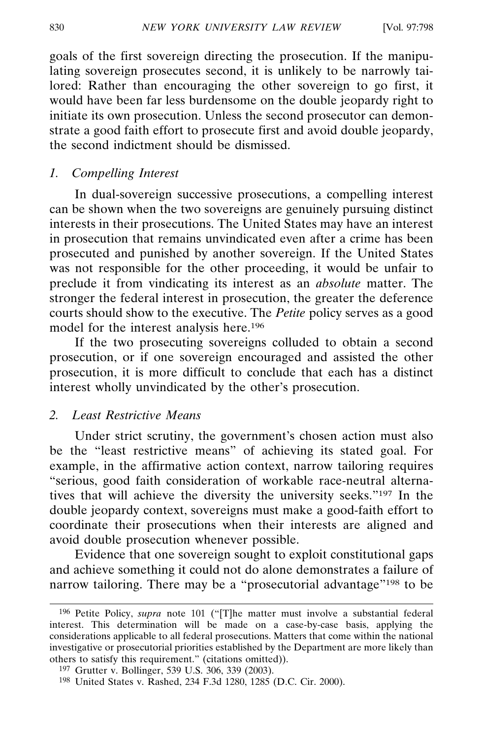goals of the first sovereign directing the prosecution. If the manipulating sovereign prosecutes second, it is unlikely to be narrowly tailored: Rather than encouraging the other sovereign to go first, it would have been far less burdensome on the double jeopardy right to initiate its own prosecution. Unless the second prosecutor can demonstrate a good faith effort to prosecute first and avoid double jeopardy, the second indictment should be dismissed.

#### *1. Compelling Interest*

In dual-sovereign successive prosecutions, a compelling interest can be shown when the two sovereigns are genuinely pursuing distinct interests in their prosecutions. The United States may have an interest in prosecution that remains unvindicated even after a crime has been prosecuted and punished by another sovereign. If the United States was not responsible for the other proceeding, it would be unfair to preclude it from vindicating its interest as an *absolute* matter. The stronger the federal interest in prosecution, the greater the deference courts should show to the executive. The *Petite* policy serves as a good model for the interest analysis here.196

If the two prosecuting sovereigns colluded to obtain a second prosecution, or if one sovereign encouraged and assisted the other prosecution, it is more difficult to conclude that each has a distinct interest wholly unvindicated by the other's prosecution.

## *2. Least Restrictive Means*

Under strict scrutiny, the government's chosen action must also be the "least restrictive means" of achieving its stated goal. For example, in the affirmative action context, narrow tailoring requires "serious, good faith consideration of workable race-neutral alternatives that will achieve the diversity the university seeks."197 In the double jeopardy context, sovereigns must make a good-faith effort to coordinate their prosecutions when their interests are aligned and avoid double prosecution whenever possible.

Evidence that one sovereign sought to exploit constitutional gaps and achieve something it could not do alone demonstrates a failure of narrow tailoring. There may be a "prosecutorial advantage"<sup>198</sup> to be

<sup>196</sup> Petite Policy, *supra* note 101 ("[T]he matter must involve a substantial federal interest. This determination will be made on a case-by-case basis, applying the considerations applicable to all federal prosecutions. Matters that come within the national investigative or prosecutorial priorities established by the Department are more likely than others to satisfy this requirement." (citations omitted)).

<sup>197</sup> Grutter v. Bollinger, 539 U.S. 306, 339 (2003).

<sup>198</sup> United States v. Rashed, 234 F.3d 1280, 1285 (D.C. Cir. 2000).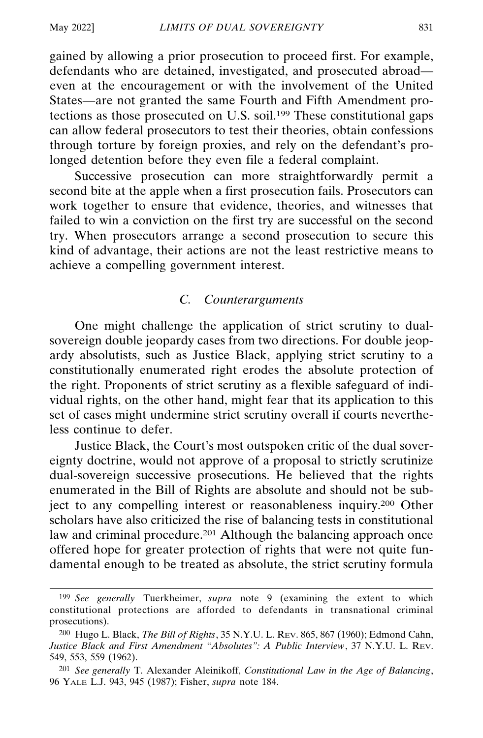gained by allowing a prior prosecution to proceed first. For example, defendants who are detained, investigated, and prosecuted abroad even at the encouragement or with the involvement of the United States—are not granted the same Fourth and Fifth Amendment protections as those prosecuted on U.S. soil.199 These constitutional gaps can allow federal prosecutors to test their theories, obtain confessions through torture by foreign proxies, and rely on the defendant's prolonged detention before they even file a federal complaint.

Successive prosecution can more straightforwardly permit a second bite at the apple when a first prosecution fails. Prosecutors can work together to ensure that evidence, theories, and witnesses that failed to win a conviction on the first try are successful on the second try. When prosecutors arrange a second prosecution to secure this kind of advantage, their actions are not the least restrictive means to achieve a compelling government interest.

## *C. Counterarguments*

One might challenge the application of strict scrutiny to dualsovereign double jeopardy cases from two directions. For double jeopardy absolutists, such as Justice Black, applying strict scrutiny to a constitutionally enumerated right erodes the absolute protection of the right. Proponents of strict scrutiny as a flexible safeguard of individual rights, on the other hand, might fear that its application to this set of cases might undermine strict scrutiny overall if courts nevertheless continue to defer.

Justice Black, the Court's most outspoken critic of the dual sovereignty doctrine, would not approve of a proposal to strictly scrutinize dual-sovereign successive prosecutions. He believed that the rights enumerated in the Bill of Rights are absolute and should not be subject to any compelling interest or reasonableness inquiry.200 Other scholars have also criticized the rise of balancing tests in constitutional law and criminal procedure.<sup>201</sup> Although the balancing approach once offered hope for greater protection of rights that were not quite fundamental enough to be treated as absolute, the strict scrutiny formula

<sup>199</sup> *See generally* Tuerkheimer, *supra* note 9 (examining the extent to which constitutional protections are afforded to defendants in transnational criminal prosecutions).

<sup>200</sup> Hugo L. Black, *The Bill of Rights*, 35 N.Y.U. L. REV. 865, 867 (1960); Edmond Cahn, *Justice Black and First Amendment "Absolutes": A Public Interview*, 37 N.Y.U. L. REV. 549, 553, 559 (1962).

<sup>201</sup> *See generally* T. Alexander Aleinikoff, *Constitutional Law in the Age of Balancing*, 96 YALE L.J. 943, 945 (1987); Fisher, *supra* note 184.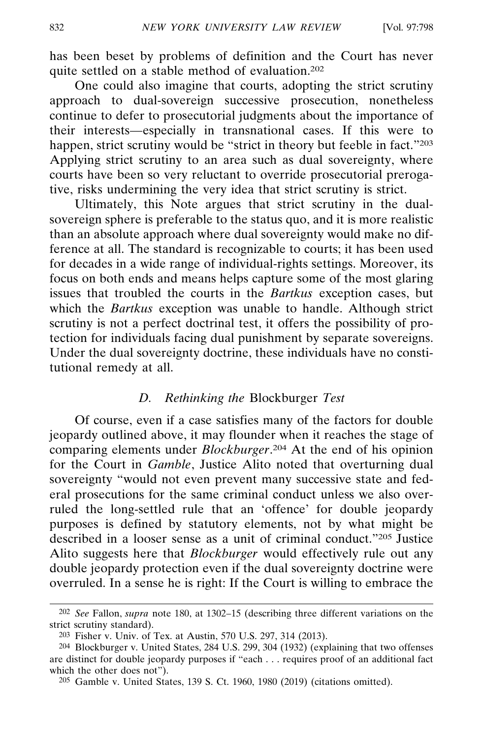has been beset by problems of definition and the Court has never quite settled on a stable method of evaluation.202

One could also imagine that courts, adopting the strict scrutiny approach to dual-sovereign successive prosecution, nonetheless continue to defer to prosecutorial judgments about the importance of their interests—especially in transnational cases. If this were to happen, strict scrutiny would be "strict in theory but feeble in fact."203 Applying strict scrutiny to an area such as dual sovereignty, where courts have been so very reluctant to override prosecutorial prerogative, risks undermining the very idea that strict scrutiny is strict.

Ultimately, this Note argues that strict scrutiny in the dualsovereign sphere is preferable to the status quo, and it is more realistic than an absolute approach where dual sovereignty would make no difference at all. The standard is recognizable to courts; it has been used for decades in a wide range of individual-rights settings. Moreover, its focus on both ends and means helps capture some of the most glaring issues that troubled the courts in the *Bartkus* exception cases, but which the *Bartkus* exception was unable to handle. Although strict scrutiny is not a perfect doctrinal test, it offers the possibility of protection for individuals facing dual punishment by separate sovereigns. Under the dual sovereignty doctrine, these individuals have no constitutional remedy at all.

### *D. Rethinking the* Blockburger *Test*

Of course, even if a case satisfies many of the factors for double jeopardy outlined above, it may flounder when it reaches the stage of comparing elements under *Blockburger*. 204 At the end of his opinion for the Court in *Gamble*, Justice Alito noted that overturning dual sovereignty "would not even prevent many successive state and federal prosecutions for the same criminal conduct unless we also overruled the long-settled rule that an 'offence' for double jeopardy purposes is defined by statutory elements, not by what might be described in a looser sense as a unit of criminal conduct."205 Justice Alito suggests here that *Blockburger* would effectively rule out any double jeopardy protection even if the dual sovereignty doctrine were overruled. In a sense he is right: If the Court is willing to embrace the

<sup>202</sup> *See* Fallon, *supra* note 180, at 1302–15 (describing three different variations on the strict scrutiny standard).

<sup>203</sup> Fisher v. Univ. of Tex. at Austin, 570 U.S. 297, 314 (2013).

<sup>204</sup> Blockburger v. United States, 284 U.S. 299, 304 (1932) (explaining that two offenses are distinct for double jeopardy purposes if "each . . . requires proof of an additional fact which the other does not").

<sup>205</sup> Gamble v. United States, 139 S. Ct. 1960, 1980 (2019) (citations omitted).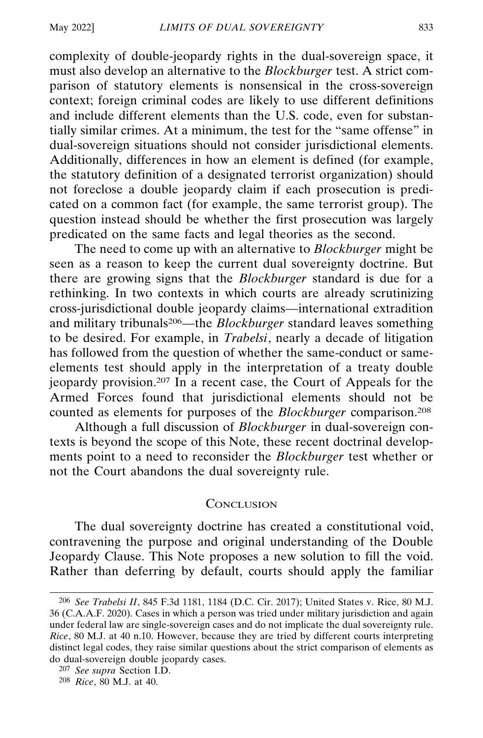complexity of double-jeopardy rights in the dual-sovereign space, it must also develop an alternative to the *Blockburger* test. A strict comparison of statutory elements is nonsensical in the cross-sovereign context; foreign criminal codes are likely to use different definitions and include different elements than the U.S. code, even for substantially similar crimes. At a minimum, the test for the "same offense" in dual-sovereign situations should not consider jurisdictional elements. Additionally, differences in how an element is defined (for example, the statutory definition of a designated terrorist organization) should not foreclose a double jeopardy claim if each prosecution is predicated on a common fact (for example, the same terrorist group). The question instead should be whether the first prosecution was largely predicated on the same facts and legal theories as the second.

The need to come up with an alternative to *Blockburger* might be seen as a reason to keep the current dual sovereignty doctrine. But there are growing signs that the *Blockburger* standard is due for a rethinking. In two contexts in which courts are already scrutinizing cross-jurisdictional double jeopardy claims—international extradition and military tribunals206—the *Blockburger* standard leaves something to be desired. For example, in *Trabelsi*, nearly a decade of litigation has followed from the question of whether the same-conduct or sameelements test should apply in the interpretation of a treaty double jeopardy provision.207 In a recent case, the Court of Appeals for the Armed Forces found that jurisdictional elements should not be counted as elements for purposes of the *Blockburger* comparison.208

Although a full discussion of *Blockburger* in dual-sovereign contexts is beyond the scope of this Note, these recent doctrinal developments point to a need to reconsider the *Blockburger* test whether or not the Court abandons the dual sovereignty rule.

## **CONCLUSION**

The dual sovereignty doctrine has created a constitutional void, contravening the purpose and original understanding of the Double Jeopardy Clause. This Note proposes a new solution to fill the void. Rather than deferring by default, courts should apply the familiar

<sup>206</sup> *See Trabelsi II*, 845 F.3d 1181, 1184 (D.C. Cir. 2017); United States v. Rice, 80 M.J. 36 (C.A.A.F. 2020). Cases in which a person was tried under military jurisdiction and again under federal law are single-sovereign cases and do not implicate the dual sovereignty rule. *Rice*, 80 M.J. at 40 n.10. However, because they are tried by different courts interpreting distinct legal codes, they raise similar questions about the strict comparison of elements as do dual-sovereign double jeopardy cases.

<sup>207</sup> *See supra* Section I.D.

<sup>208</sup> *Rice*, 80 M.J. at 40.